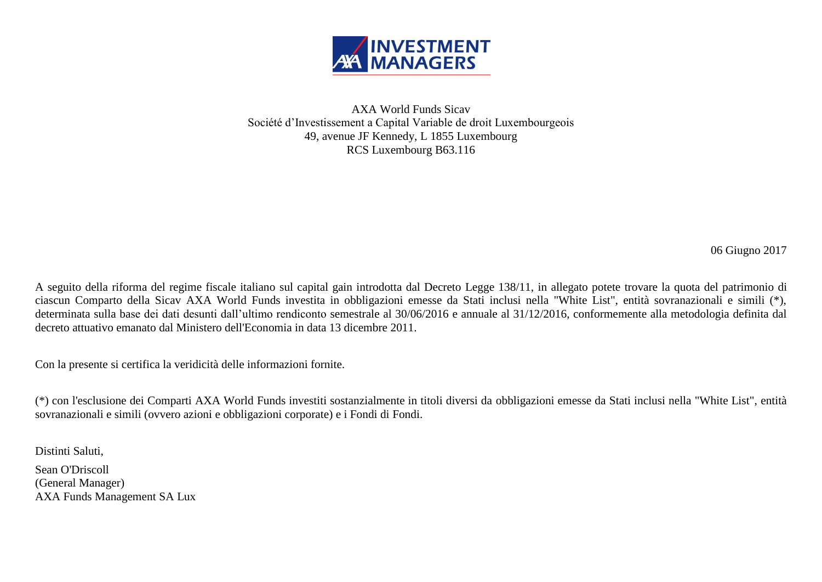

AXA World Funds Sicav Société d'Investissement a Capital Variable de droit Luxembourgeois 49, avenue JF Kennedy, L 1855 Luxembourg RCS Luxembourg B63.116

06 Giugno 2017

A seguito della riforma del regime fiscale italiano sul capital gain introdotta dal Decreto Legge 138/11, in allegato potete trovare la quota del patrimonio di ciascun Comparto della Sicav AXA World Funds investita in obbligazioni emesse da Stati inclusi nella "White List", entità sovranazionali e simili (\*), determinata sulla base dei dati desunti dall'ultimo rendiconto semestrale al 30/06/2016 e annuale al 31/12/2016, conformemente alla metodologia definita dal decreto attuativo emanato dal Ministero dell'Economia in data 13 dicembre 2011.

Con la presente si certifica la veridicità delle informazioni fornite.

(\*) con l'esclusione dei Comparti AXA World Funds investiti sostanzialmente in titoli diversi da obbligazioni emesse da Stati inclusi nella "White List", entità sovranazionali e simili (ovvero azioni e obbligazioni corporate) e i Fondi di Fondi.

Distinti Saluti, Sean O'Driscoll (General Manager) AXA Funds Management SA Lux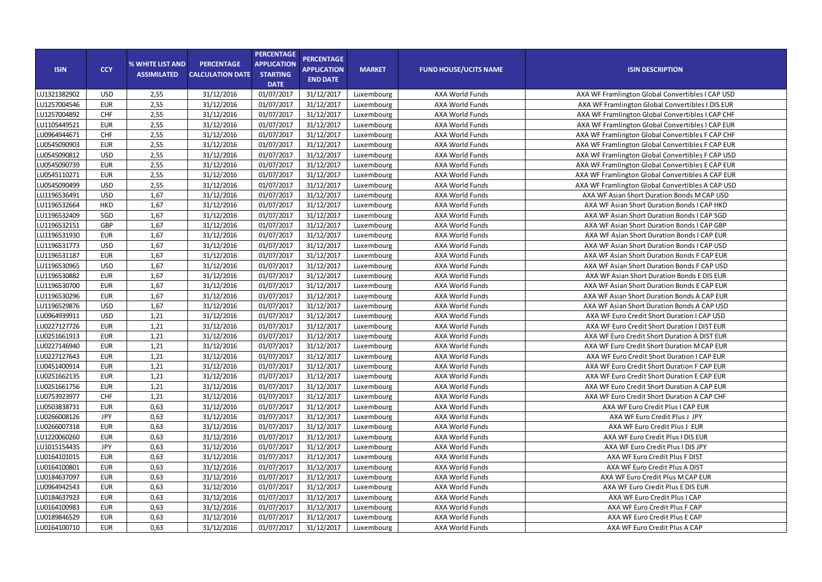|              |            |                    |                         | <b>PERCENTAGE</b>  |                    |               |                              |                                                  |
|--------------|------------|--------------------|-------------------------|--------------------|--------------------|---------------|------------------------------|--------------------------------------------------|
|              |            | % WHITE LIST AND   | <b>PERCENTAGE</b>       | <b>APPLICATION</b> | <b>PERCENTAGE</b>  |               |                              |                                                  |
| <b>ISIN</b>  | <b>CCY</b> | <b>ASSIMILATED</b> | <b>CALCULATION DATE</b> | <b>STARTING</b>    | <b>APPLICATION</b> | <b>MARKET</b> | <b>FUND HOUSE/UCITS NAME</b> | <b>ISIN DESCRIPTION</b>                          |
|              |            |                    |                         | <b>DATE</b>        | <b>END DATE</b>    |               |                              |                                                  |
| LU1321382902 | <b>USD</b> | 2,55               | 31/12/2016              | 01/07/2017         | 31/12/2017         | Luxembourg    | AXA World Funds              | AXA WF Framlington Global Convertibles I CAP USD |
| LU1257004546 | <b>EUR</b> | 2,55               | 31/12/2016              | 01/07/2017         | 31/12/2017         | Luxembourg    | AXA World Funds              | AXA WF Framlington Global Convertibles I DIS EUR |
| LU1257004892 | <b>CHF</b> | 2,55               | 31/12/2016              | 01/07/2017         | 31/12/2017         | Luxembourg    | AXA World Funds              | AXA WF Framlington Global Convertibles I CAP CHF |
| LU1105449521 | <b>EUR</b> | 2,55               | 31/12/2016              | 01/07/2017         | 31/12/2017         | Luxembourg    | AXA World Funds              | AXA WF Framlington Global Convertibles I CAP EUR |
| LU0964944671 | CHF        | 2,55               | 31/12/2016              | 01/07/2017         | 31/12/2017         | Luxembourg    | AXA World Funds              | AXA WF Framlington Global Convertibles F CAP CHF |
| LU0545090903 | <b>EUR</b> | 2,55               | 31/12/2016              | 01/07/2017         | 31/12/2017         | Luxembourg    | <b>AXA World Funds</b>       | AXA WF Framlington Global Convertibles F CAP EUR |
| LU0545090812 | <b>USD</b> | 2,55               | 31/12/2016              | 01/07/2017         | 31/12/2017         | Luxembourg    | AXA World Funds              | AXA WF Framlington Global Convertibles F CAP USD |
| LU0545090739 | <b>EUR</b> | 2,55               | 31/12/2016              | 01/07/2017         | 31/12/2017         | Luxembourg    | AXA World Funds              | AXA WF Framlington Global Convertibles E CAP EUR |
| LU0545110271 | <b>EUR</b> | 2,55               | 31/12/2016              | 01/07/2017         | 31/12/2017         | Luxembourg    | AXA World Funds              | AXA WF Framlington Global Convertibles A CAP EUR |
| LU0545090499 | <b>USD</b> | 2,55               | 31/12/2016              | 01/07/2017         | 31/12/2017         | Luxembourg    | AXA World Funds              | AXA WF Framlington Global Convertibles A CAP USD |
| LU1196536491 | <b>USD</b> | 1,67               | 31/12/2016              | 01/07/2017         | 31/12/2017         | Luxembourg    | AXA World Funds              | AXA WF Asian Short Duration Bonds M CAP USD      |
| LU1196532664 | <b>HKD</b> | 1,67               | 31/12/2016              | 01/07/2017         | 31/12/2017         | Luxembourg    | AXA World Funds              | AXA WF Asian Short Duration Bonds I CAP HKD      |
| LU1196532409 | SGD        | 1,67               | 31/12/2016              | 01/07/2017         | 31/12/2017         | Luxembourg    | AXA World Funds              | AXA WF Asian Short Duration Bonds I CAP SGD      |
| LU1196532151 | GBP        | 1,67               | 31/12/2016              | 01/07/2017         | 31/12/2017         | Luxembourg    | AXA World Funds              | AXA WF Asian Short Duration Bonds I CAP GBP      |
| LU1196531930 | <b>EUR</b> | 1,67               | 31/12/2016              | 01/07/2017         | 31/12/2017         | Luxembourg    | AXA World Funds              | AXA WF Asian Short Duration Bonds I CAP EUR      |
| LU1196531773 | <b>USD</b> | 1,67               | 31/12/2016              | 01/07/2017         | 31/12/2017         | Luxembourg    | AXA World Funds              | AXA WF Asian Short Duration Bonds I CAP USD      |
| LU1196531187 | <b>EUR</b> | 1,67               | 31/12/2016              | 01/07/2017         | 31/12/2017         | Luxembourg    | AXA World Funds              | AXA WF Asian Short Duration Bonds F CAP EUR      |
| LU1196530965 | <b>USD</b> | 1,67               | 31/12/2016              | 01/07/2017         | 31/12/2017         | Luxembourg    | AXA World Funds              | AXA WF Asian Short Duration Bonds F CAP USD      |
| LU1196530882 | <b>EUR</b> | 1,67               | 31/12/2016              | 01/07/2017         | 31/12/2017         | Luxembourg    | AXA World Funds              | AXA WF Asian Short Duration Bonds E DIS EUR      |
| LU1196530700 | <b>EUR</b> | 1,67               | 31/12/2016              | 01/07/2017         | 31/12/2017         | Luxembourg    | AXA World Funds              | AXA WF Asian Short Duration Bonds E CAP EUR      |
| LU1196530296 | <b>EUR</b> | 1,67               | 31/12/2016              | 01/07/2017         | 31/12/2017         | Luxembourg    | AXA World Funds              | AXA WF Asian Short Duration Bonds A CAP EUR      |
| LU1196529876 | <b>USD</b> | 1,67               | 31/12/2016              | 01/07/2017         | 31/12/2017         | Luxembourg    | AXA World Funds              | AXA WF Asian Short Duration Bonds A CAP USD      |
| LU0964939911 | <b>USD</b> | 1,21               | 31/12/2016              | 01/07/2017         | 31/12/2017         | Luxembourg    | AXA World Funds              | AXA WF Euro Credit Short Duration I CAP USD      |
| LU0227127726 | <b>EUR</b> | 1,21               | 31/12/2016              | 01/07/2017         | 31/12/2017         | Luxembourg    | AXA World Funds              | AXA WF Euro Credit Short Duration I DIST EUR     |
| LU0251661913 | <b>EUR</b> | 1,21               | 31/12/2016              | 01/07/2017         | 31/12/2017         | Luxembourg    | AXA World Funds              | AXA WF Euro Credit Short Duration A DIST EUR     |
| LU0227146940 | <b>EUR</b> | 1,21               | 31/12/2016              | 01/07/2017         | 31/12/2017         | Luxembourg    | AXA World Funds              | AXA WF Euro Credit Short Duration M CAP EUR      |
| LU0227127643 | <b>EUR</b> | 1,21               | 31/12/2016              | 01/07/2017         | 31/12/2017         | Luxembourg    | AXA World Funds              | AXA WF Euro Credit Short Duration I CAP EUR      |
| LU0451400914 | <b>EUR</b> | 1,21               | 31/12/2016              | 01/07/2017         | 31/12/2017         | Luxembourg    | AXA World Funds              | AXA WF Euro Credit Short Duration F CAP EUR      |
| LU0251662135 | <b>EUR</b> | 1,21               | 31/12/2016              | 01/07/2017         | 31/12/2017         | Luxembourg    | AXA World Funds              | AXA WF Euro Credit Short Duration E CAP EUR      |
| LU0251661756 | <b>EUR</b> | 1,21               | 31/12/2016              | 01/07/2017         | 31/12/2017         | Luxembourg    | AXA World Funds              | AXA WF Euro Credit Short Duration A CAP EUR      |
| LU0753923977 | CHF        | 1,21               | 31/12/2016              | 01/07/2017         | 31/12/2017         | Luxembourg    | AXA World Funds              | AXA WF Euro Credit Short Duration A CAP CHF      |
| LU0503838731 | <b>EUR</b> | 0,63               | 31/12/2016              | 01/07/2017         | 31/12/2017         | Luxembourg    | AXA World Funds              | AXA WF Euro Credit Plus I CAP EUR                |
| LU0266008126 | JPY        | 0,63               | 31/12/2016              | 01/07/2017         | 31/12/2017         | Luxembourg    | AXA World Funds              | AXA WF Euro Credit Plus J JPY                    |
| LU0266007318 | <b>EUR</b> | 0,63               | 31/12/2016              | 01/07/2017         | 31/12/2017         | Luxembourg    | AXA World Funds              | AXA WF Euro Credit Plus J EUR                    |
| LU1220060260 | <b>EUR</b> | 0,63               | 31/12/2016              | 01/07/2017         | 31/12/2017         | Luxembourg    | AXA World Funds              | AXA WF Euro Credit Plus I DIS EUR                |
| LU1015154435 | JPY        | 0,63               | 31/12/2016              | 01/07/2017         | 31/12/2017         | Luxembourg    | AXA World Funds              | AXA WF Euro Credit Plus I DIS JPY                |
| LU0164101015 | <b>EUR</b> | 0,63               | 31/12/2016              | 01/07/2017         | 31/12/2017         | Luxembourg    | AXA World Funds              | AXA WF Euro Credit Plus F DIST                   |
| LU0164100801 | <b>EUR</b> | 0,63               | 31/12/2016              | 01/07/2017         | 31/12/2017         | Luxembourg    | AXA World Funds              | AXA WF Euro Credit Plus A DIST                   |
| LU0184637097 | <b>EUR</b> | 0,63               | 31/12/2016              | 01/07/2017         | 31/12/2017         | Luxembourg    | AXA World Funds              | AXA WF Euro Credit Plus M CAP EUR                |
| LU0964942543 | <b>EUR</b> | 0,63               | 31/12/2016              | 01/07/2017         | 31/12/2017         | Luxembourg    | AXA World Funds              | AXA WF Euro Credit Plus E DIS EUR                |
| LU0184637923 | <b>EUR</b> | 0,63               | 31/12/2016              | 01/07/2017         | 31/12/2017         | Luxembourg    | AXA World Funds              | AXA WF Euro Credit Plus I CAP                    |
| LU0164100983 | <b>EUR</b> | 0,63               | 31/12/2016              | 01/07/2017         | 31/12/2017         | Luxembourg    | AXA World Funds              | AXA WF Euro Credit Plus F CAP                    |
| LU0189846529 | <b>EUR</b> | 0,63               | 31/12/2016              | 01/07/2017         | 31/12/2017         | Luxembourg    | AXA World Funds              | AXA WF Euro Credit Plus E CAP                    |
| LU0164100710 | <b>EUR</b> | 0,63               | 31/12/2016              | 01/07/2017         | 31/12/2017         | Luxembourg    | AXA World Funds              | AXA WF Euro Credit Plus A CAP                    |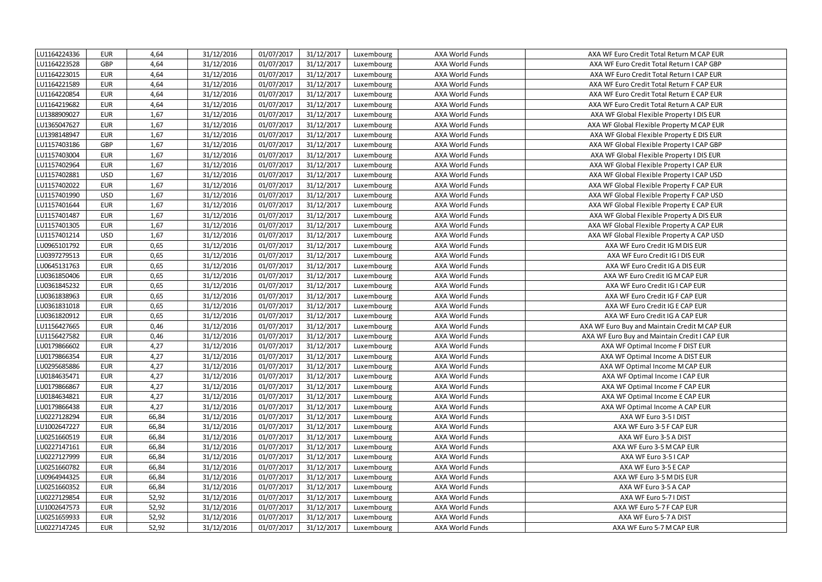| LU1164224336 | <b>EUR</b> | 4,64  | 31/12/2016 | 01/07/2017 | 31/12/2017 | Luxembourg | AXA World Funds | AXA WF Euro Credit Total Return M CAP EUR     |
|--------------|------------|-------|------------|------------|------------|------------|-----------------|-----------------------------------------------|
| LU1164223528 | GBP        | 4,64  | 31/12/2016 | 01/07/2017 | 31/12/2017 | Luxembourg | AXA World Funds | AXA WF Euro Credit Total Return I CAP GBP     |
| LU1164223015 | <b>EUR</b> | 4,64  | 31/12/2016 | 01/07/2017 | 31/12/2017 | Luxembourg | AXA World Funds | AXA WF Euro Credit Total Return I CAP EUR     |
| LU1164221589 | <b>EUR</b> | 4,64  | 31/12/2016 | 01/07/2017 | 31/12/2017 | Luxembourg | AXA World Funds | AXA WF Euro Credit Total Return F CAP EUR     |
| LU1164220854 | <b>EUR</b> | 4,64  | 31/12/2016 | 01/07/2017 | 31/12/2017 | Luxembourg | AXA World Funds | AXA WF Euro Credit Total Return E CAP EUR     |
| LU1164219682 | <b>EUR</b> | 4,64  | 31/12/2016 | 01/07/2017 | 31/12/2017 | Luxembourg | AXA World Funds | AXA WF Euro Credit Total Return A CAP EUR     |
| LU1388909027 | <b>EUR</b> | 1,67  | 31/12/2016 | 01/07/2017 | 31/12/2017 | Luxembourg | AXA World Funds | AXA WF Global Flexible Property I DIS EUR     |
| LU1365047627 | <b>EUR</b> | 1,67  | 31/12/2016 | 01/07/2017 | 31/12/2017 | Luxembourg | AXA World Funds | AXA WF Global Flexible Property M CAP EUR     |
| LU1398148947 | <b>EUR</b> | 1,67  | 31/12/2016 | 01/07/2017 | 31/12/2017 | Luxembourg | AXA World Funds | AXA WF Global Flexible Property E DIS EUR     |
| LU1157403186 | GBP        | 1,67  | 31/12/2016 | 01/07/2017 | 31/12/2017 | Luxembourg | AXA World Funds | AXA WF Global Flexible Property I CAP GBP     |
| LU1157403004 | <b>EUR</b> | 1,67  | 31/12/2016 | 01/07/2017 | 31/12/2017 | Luxembourg | AXA World Funds | AXA WF Global Flexible Property I DIS EUR     |
| LU1157402964 | <b>EUR</b> | 1,67  | 31/12/2016 | 01/07/2017 | 31/12/2017 | Luxembourg | AXA World Funds | AXA WF Global Flexible Property I CAP EUR     |
| LU1157402881 | <b>USD</b> | 1,67  | 31/12/2016 | 01/07/2017 | 31/12/2017 | Luxembourg | AXA World Funds | AXA WF Global Flexible Property I CAP USD     |
| LU1157402022 | <b>EUR</b> | 1,67  | 31/12/2016 | 01/07/2017 | 31/12/2017 | Luxembourg | AXA World Funds | AXA WF Global Flexible Property F CAP EUR     |
| LU1157401990 | <b>USD</b> | 1,67  | 31/12/2016 | 01/07/2017 | 31/12/2017 | Luxembourg | AXA World Funds | AXA WF Global Flexible Property F CAP USD     |
| LU1157401644 | <b>EUR</b> | 1,67  | 31/12/2016 | 01/07/2017 | 31/12/2017 | Luxembourg | AXA World Funds | AXA WF Global Flexible Property E CAP EUR     |
| LU1157401487 | <b>EUR</b> | 1,67  | 31/12/2016 | 01/07/2017 | 31/12/2017 | Luxembourg | AXA World Funds | AXA WF Global Flexible Property A DIS EUR     |
| LU1157401305 | <b>EUR</b> | 1,67  | 31/12/2016 | 01/07/2017 | 31/12/2017 | Luxembourg | AXA World Funds | AXA WF Global Flexible Property A CAP EUR     |
| LU1157401214 | <b>USD</b> | 1,67  | 31/12/2016 | 01/07/2017 | 31/12/2017 | Luxembourg | AXA World Funds | AXA WF Global Flexible Property A CAP USD     |
| LU0965101792 | <b>EUR</b> | 0,65  | 31/12/2016 | 01/07/2017 | 31/12/2017 | Luxembourg | AXA World Funds | AXA WF Euro Credit IG M DIS EUR               |
| LU0397279513 | <b>EUR</b> | 0,65  | 31/12/2016 | 01/07/2017 | 31/12/2017 | Luxembourg | AXA World Funds | AXA WF Euro Credit IG I DIS EUR               |
| LU0645131763 | <b>EUR</b> | 0,65  | 31/12/2016 | 01/07/2017 | 31/12/2017 | Luxembourg | AXA World Funds | AXA WF Euro Credit IG A DIS EUR               |
| LU0361850406 | <b>EUR</b> | 0,65  | 31/12/2016 | 01/07/2017 | 31/12/2017 | Luxembourg | AXA World Funds | AXA WF Euro Credit IG M CAP EUR               |
| LU0361845232 | <b>EUR</b> | 0,65  | 31/12/2016 | 01/07/2017 | 31/12/2017 | Luxembourg | AXA World Funds | AXA WF Euro Credit IG I CAP EUR               |
| LU0361838963 | <b>EUR</b> | 0,65  | 31/12/2016 | 01/07/2017 | 31/12/2017 | Luxembourg | AXA World Funds | AXA WF Euro Credit IG F CAP EUR               |
| LU0361831018 | <b>EUR</b> | 0,65  | 31/12/2016 | 01/07/2017 | 31/12/2017 | Luxembourg | AXA World Funds | AXA WF Euro Credit IG E CAP EUR               |
| LU0361820912 | <b>EUR</b> | 0,65  | 31/12/2016 | 01/07/2017 | 31/12/2017 | Luxembourg | AXA World Funds | AXA WF Euro Credit IG A CAP EUR               |
| LU1156427665 | <b>EUR</b> | 0,46  | 31/12/2016 | 01/07/2017 | 31/12/2017 | Luxembourg | AXA World Funds | AXA WF Euro Buy and Maintain Credit M CAP EUR |
| LU1156427582 | <b>EUR</b> | 0,46  | 31/12/2016 | 01/07/2017 | 31/12/2017 | Luxembourg | AXA World Funds | AXA WF Euro Buy and Maintain Credit I CAP EUR |
| LU0179866602 | <b>EUR</b> | 4,27  | 31/12/2016 | 01/07/2017 | 31/12/2017 | Luxembourg | AXA World Funds | AXA WF Optimal Income F DIST EUR              |
| LU0179866354 | <b>EUR</b> | 4,27  | 31/12/2016 | 01/07/2017 | 31/12/2017 | Luxembourg | AXA World Funds | AXA WF Optimal Income A DIST EUR              |
| LU0295685886 | <b>EUR</b> | 4,27  | 31/12/2016 | 01/07/2017 | 31/12/2017 | Luxembourg | AXA World Funds | AXA WF Optimal Income M CAP EUR               |
| LU0184635471 | <b>EUR</b> | 4,27  | 31/12/2016 | 01/07/2017 | 31/12/2017 | Luxembourg | AXA World Funds | AXA WF Optimal Income I CAP EUR               |
| LU0179866867 | <b>EUR</b> | 4,27  | 31/12/2016 | 01/07/2017 | 31/12/2017 | Luxembourg | AXA World Funds | AXA WF Optimal Income F CAP EUR               |
| LU0184634821 | <b>EUR</b> | 4,27  | 31/12/2016 | 01/07/2017 | 31/12/2017 | Luxembourg | AXA World Funds | AXA WF Optimal Income E CAP EUR               |
| LU0179866438 | <b>EUR</b> | 4,27  | 31/12/2016 | 01/07/2017 | 31/12/2017 | Luxembourg | AXA World Funds | AXA WF Optimal Income A CAP EUR               |
| LU0227128294 | <b>EUR</b> | 66,84 | 31/12/2016 | 01/07/2017 | 31/12/2017 | Luxembourg | AXA World Funds | AXA WF Euro 3-5 I DIST                        |
| LU1002647227 | <b>EUR</b> | 66,84 | 31/12/2016 | 01/07/2017 | 31/12/2017 | Luxembourg | AXA World Funds | AXA WF Euro 3-5 F CAP EUR                     |
| LU0251660519 | <b>EUR</b> | 66,84 | 31/12/2016 | 01/07/2017 | 31/12/2017 | Luxembourg | AXA World Funds | AXA WF Euro 3-5 A DIST                        |
| LU0227147161 | <b>EUR</b> | 66,84 | 31/12/2016 | 01/07/2017 | 31/12/2017 | Luxembourg | AXA World Funds | AXA WF Euro 3-5 M CAP EUR                     |
| LU0227127999 | <b>EUR</b> | 66,84 | 31/12/2016 | 01/07/2017 | 31/12/2017 | Luxembourg | AXA World Funds | AXA WF Euro 3-51 CAP                          |
| LU0251660782 | <b>EUR</b> | 66,84 | 31/12/2016 | 01/07/2017 | 31/12/2017 | Luxembourg | AXA World Funds | AXA WF Euro 3-5 E CAP                         |
| LU0964944325 | <b>EUR</b> | 66,84 | 31/12/2016 | 01/07/2017 | 31/12/2017 | Luxembourg | AXA World Funds | AXA WF Euro 3-5 M DIS EUR                     |
| LU0251660352 | <b>EUR</b> | 66,84 | 31/12/2016 | 01/07/2017 | 31/12/2017 | Luxembourg | AXA World Funds | AXA WF Euro 3-5 A CAP                         |
| LU0227129854 | <b>EUR</b> | 52,92 | 31/12/2016 | 01/07/2017 | 31/12/2017 | Luxembourg | AXA World Funds | AXA WF Euro 5-71 DIST                         |
| LU1002647573 | <b>EUR</b> | 52,92 | 31/12/2016 | 01/07/2017 | 31/12/2017 | Luxembourg | AXA World Funds | AXA WF Euro 5-7 F CAP EUR                     |
| LU0251659933 | <b>EUR</b> | 52,92 | 31/12/2016 | 01/07/2017 | 31/12/2017 | Luxembourg | AXA World Funds | AXA WF Euro 5-7 A DIST                        |
| LU0227147245 | <b>EUR</b> | 52,92 | 31/12/2016 | 01/07/2017 | 31/12/2017 | Luxembourg | AXA World Funds | AXA WF Euro 5-7 M CAP EUR                     |
|              |            |       |            |            |            |            |                 |                                               |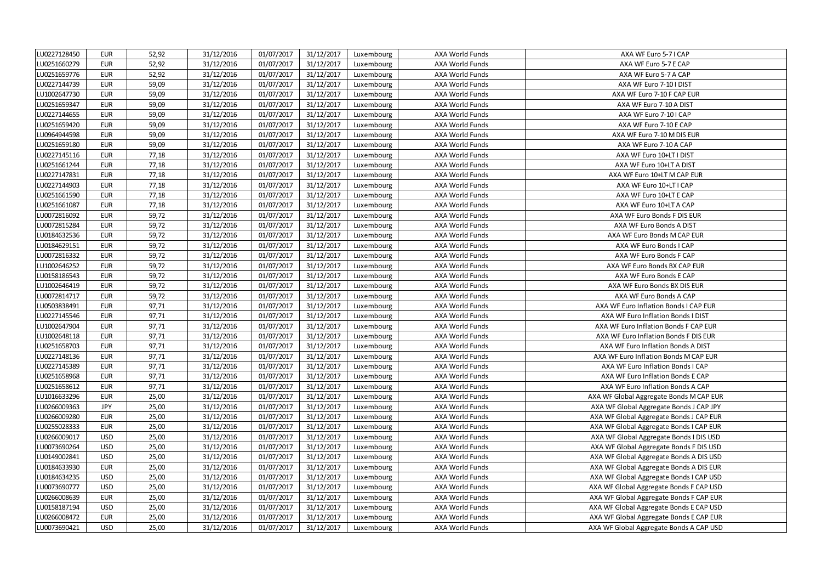| LU0227128450 | <b>EUR</b> | 52,92 | 31/12/2016 | 01/07/2017 | 31/12/2017 | Luxembourg | AXA World Funds        | AXA WF Euro 5-71 CAP                    |
|--------------|------------|-------|------------|------------|------------|------------|------------------------|-----------------------------------------|
| LU0251660279 | <b>EUR</b> | 52,92 | 31/12/2016 | 01/07/2017 | 31/12/2017 | Luxembourg | <b>AXA World Funds</b> | AXA WF Euro 5-7 E CAP                   |
| LU0251659776 | <b>EUR</b> | 52,92 | 31/12/2016 | 01/07/2017 | 31/12/2017 | Luxembourg | AXA World Funds        | AXA WF Euro 5-7 A CAP                   |
| LU0227144739 | <b>EUR</b> | 59,09 | 31/12/2016 | 01/07/2017 | 31/12/2017 | Luxembourg | AXA World Funds        | AXA WF Euro 7-10 I DIST                 |
| LU1002647730 | <b>EUR</b> | 59,09 | 31/12/2016 | 01/07/2017 | 31/12/2017 | Luxembourg | AXA World Funds        | AXA WF Euro 7-10 F CAP EUR              |
| LU0251659347 | <b>EUR</b> | 59,09 | 31/12/2016 | 01/07/2017 | 31/12/2017 | Luxembourg | AXA World Funds        | AXA WF Euro 7-10 A DIST                 |
| LU0227144655 | <b>EUR</b> | 59,09 | 31/12/2016 | 01/07/2017 | 31/12/2017 | Luxembourg | AXA World Funds        | AXA WF Euro 7-101 CAP                   |
| LU0251659420 | <b>EUR</b> | 59,09 | 31/12/2016 | 01/07/2017 | 31/12/2017 | Luxembourg | AXA World Funds        | AXA WF Euro 7-10 E CAP                  |
| LU0964944598 | <b>EUR</b> | 59,09 | 31/12/2016 | 01/07/2017 | 31/12/2017 | Luxembourg | AXA World Funds        | AXA WF Euro 7-10 M DIS EUR              |
| LU0251659180 | <b>EUR</b> | 59,09 | 31/12/2016 | 01/07/2017 | 31/12/2017 | Luxembourg | AXA World Funds        | AXA WF Euro 7-10 A CAP                  |
| LU0227145116 | <b>EUR</b> | 77,18 | 31/12/2016 | 01/07/2017 | 31/12/2017 | Luxembourg | AXA World Funds        | AXA WF Euro 10+LT I DIST                |
| LU0251661244 | <b>EUR</b> | 77,18 | 31/12/2016 | 01/07/2017 | 31/12/2017 | Luxembourg | AXA World Funds        | AXA WF Euro 10+LT A DIST                |
| LU0227147831 | <b>EUR</b> | 77,18 | 31/12/2016 | 01/07/2017 | 31/12/2017 | Luxembourg | AXA World Funds        | AXA WF Euro 10+LT M CAP EUR             |
| LU0227144903 | <b>EUR</b> | 77,18 | 31/12/2016 | 01/07/2017 | 31/12/2017 | Luxembourg | AXA World Funds        | AXA WF Euro 10+LT I CAP                 |
| LU0251661590 | <b>EUR</b> | 77,18 | 31/12/2016 | 01/07/2017 | 31/12/2017 | Luxembourg | AXA World Funds        | AXA WF Euro 10+LT E CAP                 |
| LU0251661087 | <b>EUR</b> | 77,18 | 31/12/2016 | 01/07/2017 | 31/12/2017 | Luxembourg | AXA World Funds        | AXA WF Euro 10+LT A CAP                 |
| LU0072816092 | <b>EUR</b> | 59,72 | 31/12/2016 | 01/07/2017 | 31/12/2017 | Luxembourg | AXA World Funds        | AXA WF Euro Bonds F DIS EUR             |
| LU0072815284 | <b>EUR</b> | 59,72 | 31/12/2016 | 01/07/2017 | 31/12/2017 | Luxembourg | AXA World Funds        | AXA WF Euro Bonds A DIST                |
| LU0184632536 | <b>EUR</b> | 59,72 | 31/12/2016 | 01/07/2017 | 31/12/2017 | Luxembourg | AXA World Funds        | AXA WF Euro Bonds M CAP EUR             |
| LU0184629151 | <b>EUR</b> | 59,72 | 31/12/2016 | 01/07/2017 | 31/12/2017 | Luxembourg | AXA World Funds        | AXA WF Euro Bonds I CAP                 |
| LU0072816332 | <b>EUR</b> | 59,72 | 31/12/2016 | 01/07/2017 | 31/12/2017 | Luxembourg | AXA World Funds        | AXA WF Euro Bonds F CAP                 |
| LU1002646252 | <b>EUR</b> | 59,72 | 31/12/2016 | 01/07/2017 | 31/12/2017 | Luxembourg | AXA World Funds        | AXA WF Euro Bonds BX CAP EUR            |
| LU0158186543 | <b>EUR</b> | 59,72 | 31/12/2016 | 01/07/2017 | 31/12/2017 | Luxembourg | AXA World Funds        | AXA WF Euro Bonds E CAP                 |
| LU1002646419 | <b>EUR</b> | 59,72 | 31/12/2016 | 01/07/2017 | 31/12/2017 | Luxembourg | AXA World Funds        | AXA WF Euro Bonds BX DIS EUR            |
| LU0072814717 | <b>EUR</b> | 59,72 | 31/12/2016 | 01/07/2017 | 31/12/2017 | Luxembourg | AXA World Funds        | AXA WF Euro Bonds A CAP                 |
| LU0503838491 | <b>EUR</b> | 97,71 | 31/12/2016 | 01/07/2017 | 31/12/2017 | Luxembourg | AXA World Funds        | AXA WF Euro Inflation Bonds I CAP EUR   |
| LU0227145546 | <b>EUR</b> | 97,71 | 31/12/2016 | 01/07/2017 | 31/12/2017 | Luxembourg | AXA World Funds        | AXA WF Euro Inflation Bonds I DIST      |
| LU1002647904 | <b>EUR</b> | 97,71 | 31/12/2016 | 01/07/2017 | 31/12/2017 | Luxembourg | AXA World Funds        | AXA WF Euro Inflation Bonds F CAP EUR   |
| LU1002648118 | <b>EUR</b> | 97,71 | 31/12/2016 | 01/07/2017 | 31/12/2017 | Luxembourg | AXA World Funds        | AXA WF Euro Inflation Bonds F DIS EUR   |
| LU0251658703 | <b>EUR</b> | 97,71 | 31/12/2016 | 01/07/2017 | 31/12/2017 | Luxembourg | AXA World Funds        | AXA WF Euro Inflation Bonds A DIST      |
| LU0227148136 | <b>EUR</b> | 97,71 | 31/12/2016 | 01/07/2017 | 31/12/2017 | Luxembourg | AXA World Funds        | AXA WF Euro Inflation Bonds M CAP EUR   |
| LU0227145389 | <b>EUR</b> | 97,71 | 31/12/2016 | 01/07/2017 | 31/12/2017 | Luxembourg | AXA World Funds        | AXA WF Euro Inflation Bonds I CAP       |
| LU0251658968 | <b>EUR</b> | 97,71 | 31/12/2016 | 01/07/2017 | 31/12/2017 | Luxembourg | AXA World Funds        | AXA WF Euro Inflation Bonds E CAP       |
| LU0251658612 | <b>EUR</b> | 97,71 | 31/12/2016 | 01/07/2017 | 31/12/2017 | Luxembourg | AXA World Funds        | AXA WF Euro Inflation Bonds A CAP       |
| LU1016633296 | <b>EUR</b> | 25,00 | 31/12/2016 | 01/07/2017 | 31/12/2017 | Luxembourg | AXA World Funds        | AXA WF Global Aggregate Bonds M CAP EUR |
| LU0266009363 | JPY        | 25,00 | 31/12/2016 | 01/07/2017 | 31/12/2017 | Luxembourg | AXA World Funds        | AXA WF Global Aggregate Bonds J CAP JPY |
| LU0266009280 | <b>EUR</b> | 25,00 | 31/12/2016 | 01/07/2017 | 31/12/2017 | Luxembourg | AXA World Funds        | AXA WF Global Aggregate Bonds J CAP EUR |
| LU0255028333 | <b>EUR</b> | 25,00 | 31/12/2016 | 01/07/2017 | 31/12/2017 | Luxembourg | AXA World Funds        | AXA WF Global Aggregate Bonds I CAP EUR |
| LU0266009017 | <b>USD</b> | 25,00 | 31/12/2016 | 01/07/2017 | 31/12/2017 | Luxembourg | AXA World Funds        | AXA WF Global Aggregate Bonds I DIS USD |
| LU0073690264 | <b>USD</b> | 25,00 | 31/12/2016 | 01/07/2017 | 31/12/2017 | Luxembourg | AXA World Funds        | AXA WF Global Aggregate Bonds F DIS USD |
| LU0149002841 | <b>USD</b> | 25,00 | 31/12/2016 | 01/07/2017 | 31/12/2017 | Luxembourg | AXA World Funds        | AXA WF Global Aggregate Bonds A DIS USD |
| LU0184633930 | <b>EUR</b> | 25,00 | 31/12/2016 | 01/07/2017 | 31/12/2017 | Luxembourg | AXA World Funds        | AXA WF Global Aggregate Bonds A DIS EUR |
| LU0184634235 | <b>USD</b> | 25,00 | 31/12/2016 | 01/07/2017 | 31/12/2017 | Luxembourg | AXA World Funds        | AXA WF Global Aggregate Bonds I CAP USD |
| LU0073690777 | <b>USD</b> | 25,00 | 31/12/2016 | 01/07/2017 | 31/12/2017 | Luxembourg | AXA World Funds        | AXA WF Global Aggregate Bonds F CAP USD |
| LU0266008639 | <b>EUR</b> | 25,00 | 31/12/2016 | 01/07/2017 | 31/12/2017 | Luxembourg | AXA World Funds        | AXA WF Global Aggregate Bonds F CAP EUR |
| LU0158187194 | <b>USD</b> | 25,00 | 31/12/2016 | 01/07/2017 | 31/12/2017 | Luxembourg | AXA World Funds        | AXA WF Global Aggregate Bonds E CAP USD |
| LU0266008472 | <b>EUR</b> | 25,00 | 31/12/2016 | 01/07/2017 | 31/12/2017 | Luxembourg | AXA World Funds        | AXA WF Global Aggregate Bonds E CAP EUR |
| LU0073690421 | <b>USD</b> | 25,00 | 31/12/2016 | 01/07/2017 | 31/12/2017 | Luxembourg | AXA World Funds        | AXA WF Global Aggregate Bonds A CAP USD |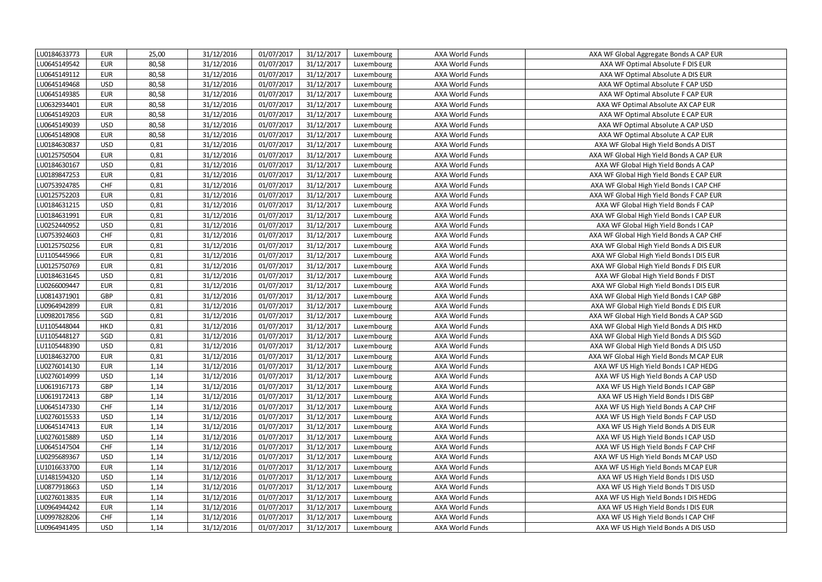| LU0184633773 | <b>EUR</b> | 25,00 | 31/12/2016 | 01/07/2017 | 31/12/2017             | Luxembourg | AXA World Funds        | AXA WF Global Aggregate Bonds A CAP EUR  |
|--------------|------------|-------|------------|------------|------------------------|------------|------------------------|------------------------------------------|
| LU0645149542 | <b>EUR</b> | 80,58 | 31/12/2016 | 01/07/2017 | 31/12/2017             | Luxembourg | AXA World Funds        | AXA WF Optimal Absolute F DIS EUR        |
| LU0645149112 | <b>EUR</b> | 80,58 | 31/12/2016 | 01/07/2017 | 31/12/2017             | Luxembourg | AXA World Funds        | AXA WF Optimal Absolute A DIS EUR        |
| LU0645149468 | <b>USD</b> | 80,58 | 31/12/2016 | 01/07/2017 | 31/12/2017             | Luxembourg | AXA World Funds        | AXA WF Optimal Absolute F CAP USD        |
| LU0645149385 | <b>EUR</b> | 80,58 | 31/12/2016 | 01/07/2017 | 31/12/2017             | Luxembourg | AXA World Funds        | AXA WF Optimal Absolute F CAP EUR        |
| LU0632934401 | <b>EUR</b> | 80,58 | 31/12/2016 | 01/07/2017 | 31/12/2017             | Luxembourg | AXA World Funds        | AXA WF Optimal Absolute AX CAP EUR       |
| LU0645149203 | <b>EUR</b> | 80,58 | 31/12/2016 | 01/07/2017 | 31/12/2017             | Luxembourg | AXA World Funds        | AXA WF Optimal Absolute E CAP EUR        |
| LU0645149039 | <b>USD</b> | 80,58 | 31/12/2016 | 01/07/2017 | 31/12/2017             | Luxembourg | AXA World Funds        | AXA WF Optimal Absolute A CAP USD        |
| LU0645148908 | <b>EUR</b> | 80,58 | 31/12/2016 | 01/07/2017 | 31/12/2017             | Luxembourg | AXA World Funds        | AXA WF Optimal Absolute A CAP EUR        |
| LU0184630837 | <b>USD</b> | 0,81  | 31/12/2016 | 01/07/2017 | 31/12/2017             | Luxembourg | AXA World Funds        | AXA WF Global High Yield Bonds A DIST    |
| LU0125750504 | <b>EUR</b> | 0,81  | 31/12/2016 | 01/07/2017 | 31/12/2017             | Luxembourg | <b>AXA World Funds</b> | AXA WF Global High Yield Bonds A CAP EUR |
| LU0184630167 | <b>USD</b> | 0,81  | 31/12/2016 | 01/07/2017 | 31/12/2017             | Luxembourg | AXA World Funds        | AXA WF Global High Yield Bonds A CAP     |
| LU0189847253 | <b>EUR</b> | 0,81  | 31/12/2016 | 01/07/2017 | 31/12/2017             | Luxembourg | AXA World Funds        | AXA WF Global High Yield Bonds E CAP EUR |
| LU0753924785 | CHF        | 0,81  | 31/12/2016 | 01/07/2017 | 31/12/2017             | Luxembourg | AXA World Funds        | AXA WF Global High Yield Bonds I CAP CHF |
| LU0125752203 | <b>EUR</b> | 0,81  | 31/12/2016 | 01/07/2017 | 31/12/2017             | Luxembourg | AXA World Funds        | AXA WF Global High Yield Bonds F CAP EUR |
| LU0184631215 | <b>USD</b> | 0,81  | 31/12/2016 | 01/07/2017 | 31/12/2017             | Luxembourg | AXA World Funds        | AXA WF Global High Yield Bonds F CAP     |
| LU0184631991 | <b>EUR</b> | 0,81  | 31/12/2016 | 01/07/2017 | 31/12/2017             | Luxembourg | AXA World Funds        | AXA WF Global High Yield Bonds I CAP EUR |
| LU0252440952 | <b>USD</b> | 0,81  | 31/12/2016 | 01/07/2017 | 31/12/2017             | Luxembourg | AXA World Funds        | AXA WF Global High Yield Bonds I CAP     |
| LU0753924603 | CHF        | 0,81  | 31/12/2016 | 01/07/2017 | 31/12/2017             | Luxembourg | AXA World Funds        | AXA WF Global High Yield Bonds A CAP CHF |
| LU0125750256 | <b>EUR</b> | 0,81  | 31/12/2016 | 01/07/2017 | 31/12/2017             | Luxembourg | AXA World Funds        | AXA WF Global High Yield Bonds A DIS EUR |
| LU1105445966 | <b>EUR</b> | 0,81  | 31/12/2016 | 01/07/2017 | 31/12/2017             | Luxembourg | AXA World Funds        | AXA WF Global High Yield Bonds I DIS EUR |
| LU0125750769 | <b>EUR</b> | 0,81  | 31/12/2016 | 01/07/2017 | 31/12/2017             | Luxembourg | AXA World Funds        | AXA WF Global High Yield Bonds F DIS EUR |
| LU0184631645 | <b>USD</b> | 0,81  | 31/12/2016 | 01/07/2017 | 31/12/2017             | Luxembourg | AXA World Funds        | AXA WF Global High Yield Bonds F DIST    |
| LU0266009447 | <b>EUR</b> | 0,81  | 31/12/2016 | 01/07/2017 | 31/12/2017             | Luxembourg | AXA World Funds        | AXA WF Global High Yield Bonds I DIS EUR |
| LU0814371901 | GBP        | 0,81  | 31/12/2016 | 01/07/2017 | 31/12/2017             | Luxembourg | AXA World Funds        | AXA WF Global High Yield Bonds I CAP GBP |
| LU0964942899 | <b>EUR</b> | 0,81  | 31/12/2016 | 01/07/2017 | 31/12/2017             | Luxembourg | AXA World Funds        | AXA WF Global High Yield Bonds E DIS EUR |
| LU0982017856 | SGD        | 0,81  | 31/12/2016 | 01/07/2017 | 31/12/2017             | Luxembourg | AXA World Funds        | AXA WF Global High Yield Bonds A CAP SGD |
| LU1105448044 | <b>HKD</b> | 0,81  | 31/12/2016 | 01/07/2017 | 31/12/2017             | Luxembourg | AXA World Funds        | AXA WF Global High Yield Bonds A DIS HKD |
| LU1105448127 | SGD        | 0,81  | 31/12/2016 | 01/07/2017 | 31/12/2017             | Luxembourg | AXA World Funds        | AXA WF Global High Yield Bonds A DIS SGD |
| LU1105448390 | <b>USD</b> | 0,81  | 31/12/2016 | 01/07/2017 | 31/12/2017             | Luxembourg | AXA World Funds        | AXA WF Global High Yield Bonds A DIS USD |
| LU0184632700 | <b>EUR</b> | 0,81  | 31/12/2016 | 01/07/2017 | 31/12/2017             | Luxembourg | AXA World Funds        | AXA WF Global High Yield Bonds M CAP EUR |
| LU0276014130 | <b>EUR</b> | 1,14  | 31/12/2016 | 01/07/2017 | 31/12/2017             | Luxembourg | AXA World Funds        | AXA WF US High Yield Bonds I CAP HEDG    |
| LU0276014999 | <b>USD</b> | 1,14  | 31/12/2016 | 01/07/2017 | 31/12/2017             | Luxembourg | AXA World Funds        | AXA WF US High Yield Bonds A CAP USD     |
| LU0619167173 | GBP        | 1,14  | 31/12/2016 | 01/07/2017 | 31/12/2017             | Luxembourg | AXA World Funds        | AXA WF US High Yield Bonds I CAP GBP     |
| LU0619172413 | GBP        | 1,14  | 31/12/2016 | 01/07/2017 | 31/12/2017             | Luxembourg | AXA World Funds        | AXA WF US High Yield Bonds I DIS GBP     |
| LU0645147330 | CHF        | 1,14  | 31/12/2016 | 01/07/2017 | 31/12/2017             | Luxembourg | AXA World Funds        | AXA WF US High Yield Bonds A CAP CHF     |
| LU0276015533 | <b>USD</b> | 1,14  | 31/12/2016 | 01/07/2017 | 31/12/2017             | Luxembourg | AXA World Funds        | AXA WF US High Yield Bonds F CAP USD     |
| LU0645147413 | <b>EUR</b> | 1,14  | 31/12/2016 | 01/07/2017 | 31/12/2017             | Luxembourg | AXA World Funds        | AXA WF US High Yield Bonds A DIS EUR     |
| LU0276015889 | <b>USD</b> | 1,14  | 31/12/2016 | 01/07/2017 | 31/12/2017             | Luxembourg | AXA World Funds        | AXA WF US High Yield Bonds I CAP USD     |
| LU0645147504 | CHF        | 1,14  | 31/12/2016 | 01/07/2017 | $\frac{1}{31}/12/2017$ | Luxembourg | AXA World Funds        | AXA WF US High Yield Bonds F CAP CHF     |
| LU0295689367 | <b>USD</b> | 1,14  | 31/12/2016 | 01/07/2017 | 31/12/2017             | Luxembourg | AXA World Funds        | AXA WF US High Yield Bonds M CAP USD     |
| LU1016633700 | <b>EUR</b> | 1,14  | 31/12/2016 | 01/07/2017 | 31/12/2017             | Luxembourg | AXA World Funds        | AXA WF US High Yield Bonds M CAP EUR     |
| LU1481594320 | <b>USD</b> | 1,14  | 31/12/2016 | 01/07/2017 | 31/12/2017             | Luxembourg | AXA World Funds        | AXA WF US High Yield Bonds I DIS USD     |
| LU0877918663 | <b>USD</b> | 1,14  | 31/12/2016 | 01/07/2017 | 31/12/2017             | Luxembourg | AXA World Funds        | AXA WF US High Yield Bonds T DIS USD     |
| LU0276013835 | <b>EUR</b> | 1,14  | 31/12/2016 | 01/07/2017 | 31/12/2017             | Luxembourg | AXA World Funds        | AXA WF US High Yield Bonds I DIS HEDG    |
| LU0964944242 | <b>EUR</b> | 1,14  | 31/12/2016 | 01/07/2017 | 31/12/2017             | Luxembourg | AXA World Funds        | AXA WF US High Yield Bonds I DIS EUR     |
| LU0997828206 | CHF        | 1,14  | 31/12/2016 | 01/07/2017 | 31/12/2017             | Luxembourg | AXA World Funds        | AXA WF US High Yield Bonds I CAP CHF     |
| LU0964941495 | <b>USD</b> | 1,14  | 31/12/2016 | 01/07/2017 | 31/12/2017             | Luxembourg | AXA World Funds        | AXA WF US High Yield Bonds A DIS USD     |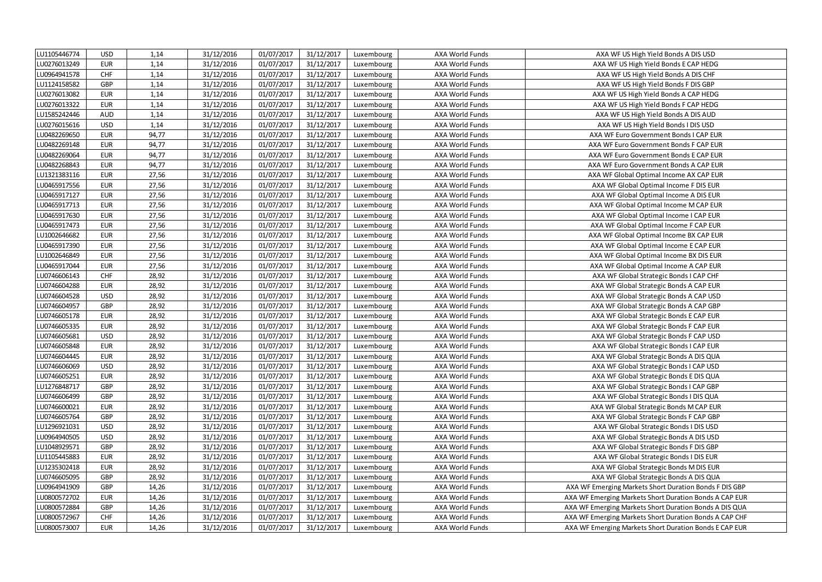| LU1105446774 | <b>USD</b> | 1,14  | 31/12/2016 | 01/07/2017 | 31/12/2017 | Luxembourg | AXA World Funds        | AXA WF US High Yield Bonds A DIS USD                   |
|--------------|------------|-------|------------|------------|------------|------------|------------------------|--------------------------------------------------------|
| LU0276013249 | <b>EUR</b> | 1,14  | 31/12/2016 | 01/07/2017 | 31/12/2017 | Luxembourg | <b>AXA World Funds</b> | AXA WF US High Yield Bonds E CAP HEDG                  |
| LU0964941578 | CHF        | 1,14  | 31/12/2016 | 01/07/2017 | 31/12/2017 | Luxembourg | AXA World Funds        | AXA WF US High Yield Bonds A DIS CHF                   |
| LU1124158582 | GBP        | 1,14  | 31/12/2016 | 01/07/2017 | 31/12/2017 | Luxembourg | AXA World Funds        | AXA WF US High Yield Bonds F DIS GBP                   |
| LU0276013082 | <b>EUR</b> | 1,14  | 31/12/2016 | 01/07/2017 | 31/12/2017 | Luxembourg | AXA World Funds        | AXA WF US High Yield Bonds A CAP HEDG                  |
| LU0276013322 | <b>EUR</b> | 1,14  | 31/12/2016 | 01/07/2017 | 31/12/2017 | Luxembourg | AXA World Funds        | AXA WF US High Yield Bonds F CAP HEDG                  |
| LU1585242446 | <b>AUD</b> | 1,14  | 31/12/2016 | 01/07/2017 | 31/12/2017 | Luxembourg | AXA World Funds        | AXA WF US High Yield Bonds A DIS AUD                   |
| LU0276015616 | <b>USD</b> | 1,14  | 31/12/2016 | 01/07/2017 | 31/12/2017 | Luxembourg | AXA World Funds        | AXA WF US High Yield Bonds I DIS USD                   |
| LU0482269650 | <b>EUR</b> | 94,77 | 31/12/2016 | 01/07/2017 | 31/12/2017 | Luxembourg | AXA World Funds        | AXA WF Euro Government Bonds I CAP EUR                 |
| LU0482269148 | <b>EUR</b> | 94,77 | 31/12/2016 | 01/07/2017 | 31/12/2017 | Luxembourg | AXA World Funds        | AXA WF Euro Government Bonds F CAP EUR                 |
| LU0482269064 | <b>EUR</b> | 94,77 | 31/12/2016 | 01/07/2017 | 31/12/2017 | Luxembourg | AXA World Funds        | AXA WF Euro Government Bonds E CAP EUR                 |
| LU0482268843 | <b>EUR</b> | 94,77 | 31/12/2016 | 01/07/2017 | 31/12/2017 | Luxembourg | AXA World Funds        | AXA WF Euro Government Bonds A CAP EUR                 |
| LU1321383116 | <b>EUR</b> | 27,56 | 31/12/2016 | 01/07/2017 | 31/12/2017 | Luxembourg | AXA World Funds        | AXA WF Global Optimal Income AX CAP EUR                |
| LU0465917556 | <b>EUR</b> | 27,56 | 31/12/2016 | 01/07/2017 | 31/12/2017 | Luxembourg | AXA World Funds        | AXA WF Global Optimal Income F DIS EUR                 |
| LU0465917127 | <b>EUR</b> | 27,56 | 31/12/2016 | 01/07/2017 | 31/12/2017 | Luxembourg | AXA World Funds        | AXA WF Global Optimal Income A DIS EUR                 |
| LU0465917713 | <b>EUR</b> | 27,56 | 31/12/2016 | 01/07/2017 | 31/12/2017 | Luxembourg | AXA World Funds        | AXA WF Global Optimal Income M CAP EUR                 |
| LU0465917630 | <b>EUR</b> | 27,56 | 31/12/2016 | 01/07/2017 | 31/12/2017 | Luxembourg | <b>AXA World Funds</b> | AXA WF Global Optimal Income I CAP EUR                 |
| LU0465917473 | <b>EUR</b> | 27,56 | 31/12/2016 | 01/07/2017 | 31/12/2017 | Luxembourg | AXA World Funds        | AXA WF Global Optimal Income F CAP EUR                 |
| LU1002646682 | <b>EUR</b> | 27,56 | 31/12/2016 | 01/07/2017 | 31/12/2017 | Luxembourg | AXA World Funds        | AXA WF Global Optimal Income BX CAP EUR                |
| LU0465917390 | <b>EUR</b> | 27,56 | 31/12/2016 | 01/07/2017 | 31/12/2017 | Luxembourg | AXA World Funds        | AXA WF Global Optimal Income E CAP EUR                 |
| LU1002646849 | <b>EUR</b> | 27,56 | 31/12/2016 | 01/07/2017 | 31/12/2017 | Luxembourg | AXA World Funds        | AXA WF Global Optimal Income BX DIS EUR                |
| LU0465917044 | <b>EUR</b> | 27,56 | 31/12/2016 | 01/07/2017 | 31/12/2017 | Luxembourg | AXA World Funds        | AXA WF Global Optimal Income A CAP EUR                 |
| LU0746606143 | CHF        | 28,92 | 31/12/2016 | 01/07/2017 | 31/12/2017 | Luxembourg | AXA World Funds        | AXA WF Global Strategic Bonds I CAP CHF                |
| LU0746604288 | <b>EUR</b> | 28,92 | 31/12/2016 | 01/07/2017 | 31/12/2017 | Luxembourg | AXA World Funds        | AXA WF Global Strategic Bonds A CAP EUR                |
| LU0746604528 | <b>USD</b> | 28,92 | 31/12/2016 | 01/07/2017 | 31/12/2017 | Luxembourg | AXA World Funds        | AXA WF Global Strategic Bonds A CAP USD                |
| LU0746604957 | GBP        | 28,92 | 31/12/2016 | 01/07/2017 | 31/12/2017 | Luxembourg | AXA World Funds        | AXA WF Global Strategic Bonds A CAP GBP                |
| LU0746605178 | <b>EUR</b> | 28,92 | 31/12/2016 | 01/07/2017 | 31/12/2017 | Luxembourg | AXA World Funds        | AXA WF Global Strategic Bonds E CAP EUR                |
| LU0746605335 | <b>EUR</b> | 28,92 | 31/12/2016 | 01/07/2017 | 31/12/2017 | Luxembourg | AXA World Funds        | AXA WF Global Strategic Bonds F CAP EUR                |
| LU0746605681 | <b>USD</b> | 28,92 | 31/12/2016 | 01/07/2017 | 31/12/2017 | Luxembourg | AXA World Funds        | AXA WF Global Strategic Bonds F CAP USD                |
| LU0746605848 | <b>EUR</b> | 28,92 | 31/12/2016 | 01/07/2017 | 31/12/2017 | Luxembourg | AXA World Funds        | AXA WF Global Strategic Bonds I CAP EUR                |
| LU0746604445 | <b>EUR</b> | 28,92 | 31/12/2016 | 01/07/2017 | 31/12/2017 | Luxembourg | AXA World Funds        | AXA WF Global Strategic Bonds A DIS QUA                |
| LU0746606069 | <b>USD</b> | 28,92 | 31/12/2016 | 01/07/2017 | 31/12/2017 | Luxembourg | AXA World Funds        | AXA WF Global Strategic Bonds I CAP USD                |
| LU0746605251 | <b>EUR</b> | 28,92 | 31/12/2016 | 01/07/2017 | 31/12/2017 | Luxembourg | AXA World Funds        | AXA WF Global Strategic Bonds E DIS QUA                |
| LU1276848717 | GBP        | 28,92 | 31/12/2016 | 01/07/2017 | 31/12/2017 | Luxembourg | AXA World Funds        | AXA WF Global Strategic Bonds I CAP GBP                |
| LU0746606499 | GBP        | 28,92 | 31/12/2016 | 01/07/2017 | 31/12/2017 | Luxembourg | AXA World Funds        | AXA WF Global Strategic Bonds I DIS QUA                |
| LU0746600021 | <b>EUR</b> | 28,92 | 31/12/2016 | 01/07/2017 | 31/12/2017 | Luxembourg | AXA World Funds        | AXA WF Global Strategic Bonds M CAP EUR                |
| LU0746605764 | GBP        | 28,92 | 31/12/2016 | 01/07/2017 | 31/12/2017 | Luxembourg | AXA World Funds        | AXA WF Global Strategic Bonds F CAP GBP                |
| LU1296921031 | <b>USD</b> | 28,92 | 31/12/2016 | 01/07/2017 | 31/12/2017 | Luxembourg | AXA World Funds        | AXA WF Global Strategic Bonds I DIS USD                |
| LU0964940505 | <b>USD</b> | 28,92 | 31/12/2016 | 01/07/2017 | 31/12/2017 | Luxembourg | AXA World Funds        | AXA WF Global Strategic Bonds A DIS USD                |
| LU1048929571 | GBP        | 28,92 | 31/12/2016 | 01/07/2017 | 31/12/2017 | Luxembourg | AXA World Funds        | AXA WF Global Strategic Bonds F DIS GBP                |
| LU1105445883 | <b>EUR</b> | 28,92 | 31/12/2016 | 01/07/2017 | 31/12/2017 | Luxembourg | AXA World Funds        | AXA WF Global Strategic Bonds I DIS EUR                |
| LU1235302418 | <b>EUR</b> | 28,92 | 31/12/2016 | 01/07/2017 | 31/12/2017 | Luxembourg | AXA World Funds        | AXA WF Global Strategic Bonds M DIS EUR                |
| LU0746605095 | GBP        | 28,92 | 31/12/2016 | 01/07/2017 | 31/12/2017 | Luxembourg | AXA World Funds        | AXA WF Global Strategic Bonds A DIS QUA                |
| LU0964941909 | GBP        | 14,26 | 31/12/2016 | 01/07/2017 | 31/12/2017 | Luxembourg | AXA World Funds        | AXA WF Emerging Markets Short Duration Bonds F DIS GBP |
| LU0800572702 | <b>EUR</b> | 14,26 | 31/12/2016 | 01/07/2017 | 31/12/2017 | Luxembourg | AXA World Funds        | AXA WF Emerging Markets Short Duration Bonds A CAP EUR |
| LU0800572884 | GBP        | 14,26 | 31/12/2016 | 01/07/2017 | 31/12/2017 | Luxembourg | AXA World Funds        | AXA WF Emerging Markets Short Duration Bonds A DIS QUA |
| LU0800572967 | CHF        | 14,26 | 31/12/2016 | 01/07/2017 | 31/12/2017 | Luxembourg | <b>AXA World Funds</b> | AXA WF Emerging Markets Short Duration Bonds A CAP CHF |
| LU0800573007 | <b>EUR</b> | 14,26 | 31/12/2016 | 01/07/2017 | 31/12/2017 | Luxembourg | AXA World Funds        | AXA WF Emerging Markets Short Duration Bonds E CAP EUR |
|              |            |       |            |            |            |            |                        |                                                        |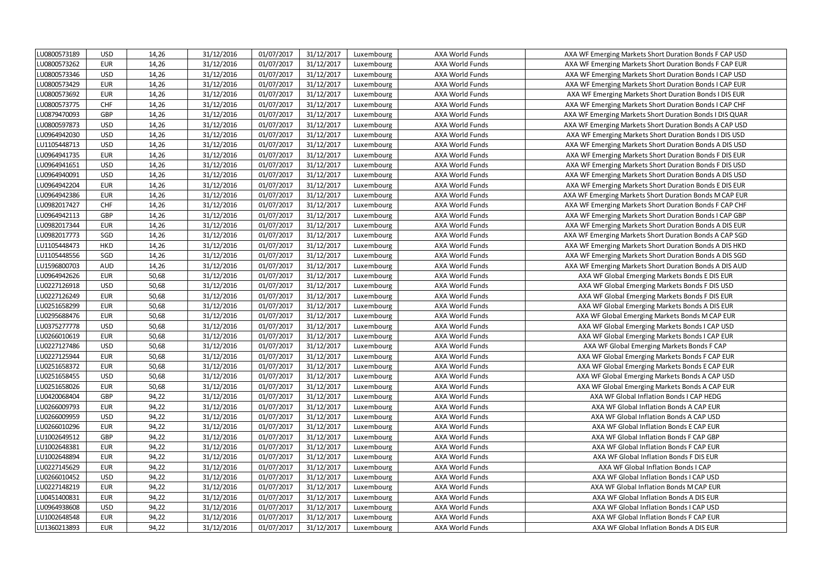| LU0800573189 | <b>USD</b> | 14,26 | 31/12/2016 | 01/07/2017 | 31/12/2017 | Luxembourg | AXA World Funds | AXA WF Emerging Markets Short Duration Bonds F CAP USD  |
|--------------|------------|-------|------------|------------|------------|------------|-----------------|---------------------------------------------------------|
| LU0800573262 | <b>EUR</b> | 14,26 | 31/12/2016 | 01/07/2017 | 31/12/2017 | Luxembourg | AXA World Funds | AXA WF Emerging Markets Short Duration Bonds F CAP EUR  |
| LU0800573346 | <b>USD</b> | 14,26 | 31/12/2016 | 01/07/2017 | 31/12/2017 | Luxembourg | AXA World Funds | AXA WF Emerging Markets Short Duration Bonds I CAP USD  |
| LU0800573429 | <b>EUR</b> | 14,26 | 31/12/2016 | 01/07/2017 | 31/12/2017 | Luxembourg | AXA World Funds | AXA WF Emerging Markets Short Duration Bonds I CAP EUR  |
| LU0800573692 | <b>EUR</b> | 14,26 | 31/12/2016 | 01/07/2017 | 31/12/2017 | Luxembourg | AXA World Funds | AXA WF Emerging Markets Short Duration Bonds I DIS EUR  |
| LU0800573775 | CHF        | 14,26 | 31/12/2016 | 01/07/2017 | 31/12/2017 | Luxembourg | AXA World Funds | AXA WF Emerging Markets Short Duration Bonds I CAP CHF  |
| LU0879470093 | GBP        | 14,26 | 31/12/2016 | 01/07/2017 | 31/12/2017 | Luxembourg | AXA World Funds | AXA WF Emerging Markets Short Duration Bonds I DIS QUAR |
| LU0800597873 | <b>USD</b> | 14,26 | 31/12/2016 | 01/07/2017 | 31/12/2017 | Luxembourg | AXA World Funds | AXA WF Emerging Markets Short Duration Bonds A CAP USD  |
| LU0964942030 | <b>USD</b> | 14,26 | 31/12/2016 | 01/07/2017 | 31/12/2017 | Luxembourg | AXA World Funds | AXA WF Emerging Markets Short Duration Bonds I DIS USD  |
| LU1105448713 | <b>USD</b> | 14,26 | 31/12/2016 | 01/07/2017 | 31/12/2017 | Luxembourg | AXA World Funds | AXA WF Emerging Markets Short Duration Bonds A DIS USD  |
| LU0964941735 | <b>EUR</b> | 14,26 | 31/12/2016 | 01/07/2017 | 31/12/2017 | Luxembourg | AXA World Funds | AXA WF Emerging Markets Short Duration Bonds F DIS EUR  |
| LU0964941651 | <b>USD</b> | 14,26 | 31/12/2016 | 01/07/2017 | 31/12/2017 | Luxembourg | AXA World Funds | AXA WF Emerging Markets Short Duration Bonds F DIS USD  |
| LU0964940091 | <b>USD</b> | 14,26 | 31/12/2016 | 01/07/2017 | 31/12/2017 | Luxembourg | AXA World Funds | AXA WF Emerging Markets Short Duration Bonds A DIS USD  |
| LU0964942204 | <b>EUR</b> | 14,26 | 31/12/2016 | 01/07/2017 | 31/12/2017 | Luxembourg | AXA World Funds | AXA WF Emerging Markets Short Duration Bonds E DIS EUR  |
| LU0964942386 | <b>EUR</b> | 14,26 | 31/12/2016 | 01/07/2017 | 31/12/2017 | Luxembourg | AXA World Funds | AXA WF Emerging Markets Short Duration Bonds M CAP EUR  |
| LU0982017427 | CHF        | 14,26 | 31/12/2016 | 01/07/2017 | 31/12/2017 | Luxembourg | AXA World Funds | AXA WF Emerging Markets Short Duration Bonds F CAP CHF  |
| LU0964942113 | GBP        | 14,26 | 31/12/2016 | 01/07/2017 | 31/12/2017 | Luxembourg | AXA World Funds | AXA WF Emerging Markets Short Duration Bonds I CAP GBP  |
| LU0982017344 | <b>EUR</b> | 14,26 | 31/12/2016 | 01/07/2017 | 31/12/2017 | Luxembourg | AXA World Funds | AXA WF Emerging Markets Short Duration Bonds A DIS EUR  |
| LU0982017773 | SGD        | 14,26 | 31/12/2016 | 01/07/2017 | 31/12/2017 | Luxembourg | AXA World Funds | AXA WF Emerging Markets Short Duration Bonds A CAP SGD  |
| LU1105448473 | <b>HKD</b> | 14,26 | 31/12/2016 | 01/07/2017 | 31/12/2017 | Luxembourg | AXA World Funds | AXA WF Emerging Markets Short Duration Bonds A DIS HKD  |
| LU1105448556 | SGD        | 14,26 | 31/12/2016 | 01/07/2017 | 31/12/2017 | Luxembourg | AXA World Funds | AXA WF Emerging Markets Short Duration Bonds A DIS SGD  |
| LU1596800703 | <b>AUD</b> | 14,26 | 31/12/2016 | 01/07/2017 | 31/12/2017 | Luxembourg | AXA World Funds | AXA WF Emerging Markets Short Duration Bonds A DIS AUD  |
| LU0964942626 | <b>EUR</b> | 50,68 | 31/12/2016 | 01/07/2017 | 31/12/2017 | Luxembourg | AXA World Funds | AXA WF Global Emerging Markets Bonds E DIS EUR          |
| LU0227126918 | <b>USD</b> | 50,68 | 31/12/2016 | 01/07/2017 | 31/12/2017 | Luxembourg | AXA World Funds | AXA WF Global Emerging Markets Bonds F DIS USD          |
| LU0227126249 | <b>EUR</b> | 50,68 | 31/12/2016 | 01/07/2017 | 31/12/2017 | Luxembourg | AXA World Funds | AXA WF Global Emerging Markets Bonds F DIS EUR          |
| LU0251658299 | <b>EUR</b> | 50,68 | 31/12/2016 | 01/07/2017 | 31/12/2017 | Luxembourg | AXA World Funds | AXA WF Global Emerging Markets Bonds A DIS EUR          |
| LU0295688476 | <b>EUR</b> | 50,68 | 31/12/2016 | 01/07/2017 | 31/12/2017 | Luxembourg | AXA World Funds | AXA WF Global Emerging Markets Bonds M CAP EUR          |
| LU0375277778 | <b>USD</b> | 50,68 | 31/12/2016 | 01/07/2017 | 31/12/2017 | Luxembourg | AXA World Funds | AXA WF Global Emerging Markets Bonds I CAP USD          |
| LU0266010619 | <b>EUR</b> | 50,68 | 31/12/2016 | 01/07/2017 | 31/12/2017 | Luxembourg | AXA World Funds | AXA WF Global Emerging Markets Bonds I CAP EUR          |
| LU0227127486 | <b>USD</b> | 50,68 | 31/12/2016 | 01/07/2017 | 31/12/2017 | Luxembourg | AXA World Funds | AXA WF Global Emerging Markets Bonds F CAP              |
| LU0227125944 | <b>EUR</b> | 50,68 | 31/12/2016 | 01/07/2017 | 31/12/2017 | Luxembourg | AXA World Funds | AXA WF Global Emerging Markets Bonds F CAP EUR          |
| LU0251658372 | <b>EUR</b> | 50,68 | 31/12/2016 | 01/07/2017 | 31/12/2017 | Luxembourg | AXA World Funds | AXA WF Global Emerging Markets Bonds E CAP EUR          |
| LU0251658455 | <b>USD</b> | 50,68 | 31/12/2016 | 01/07/2017 | 31/12/2017 | Luxembourg | AXA World Funds | AXA WF Global Emerging Markets Bonds A CAP USD          |
| LU0251658026 | <b>EUR</b> | 50,68 | 31/12/2016 | 01/07/2017 | 31/12/2017 | Luxembourg | AXA World Funds | AXA WF Global Emerging Markets Bonds A CAP EUR          |
| LU0420068404 | GBP        | 94,22 | 31/12/2016 | 01/07/2017 | 31/12/2017 | Luxembourg | AXA World Funds | AXA WF Global Inflation Bonds I CAP HEDG                |
| LU0266009793 | <b>EUR</b> | 94,22 | 31/12/2016 | 01/07/2017 | 31/12/2017 | Luxembourg | AXA World Funds | AXA WF Global Inflation Bonds A CAP EUR                 |
| LU0266009959 | <b>USD</b> | 94,22 | 31/12/2016 | 01/07/2017 | 31/12/2017 | Luxembourg | AXA World Funds | AXA WF Global Inflation Bonds A CAP USD                 |
| LU0266010296 | <b>EUR</b> | 94,22 | 31/12/2016 | 01/07/2017 | 31/12/2017 | Luxembourg | AXA World Funds | AXA WF Global Inflation Bonds E CAP EUR                 |
| LU1002649512 | GBP        | 94,22 | 31/12/2016 | 01/07/2017 | 31/12/2017 | Luxembourg | AXA World Funds | AXA WF Global Inflation Bonds F CAP GBP                 |
| LU1002648381 | <b>EUR</b> | 94,22 | 31/12/2016 | 01/07/2017 | 31/12/2017 | Luxembourg | AXA World Funds | AXA WF Global Inflation Bonds F CAP EUR                 |
| LU1002648894 | <b>EUR</b> | 94,22 | 31/12/2016 | 01/07/2017 | 31/12/2017 | Luxembourg | AXA World Funds | AXA WF Global Inflation Bonds F DIS EUR                 |
| LU0227145629 | <b>EUR</b> | 94,22 | 31/12/2016 | 01/07/2017 | 31/12/2017 | Luxembourg | AXA World Funds | AXA WF Global Inflation Bonds I CAP                     |
| LU0266010452 | <b>USD</b> | 94,22 | 31/12/2016 | 01/07/2017 | 31/12/2017 | Luxembourg | AXA World Funds | AXA WF Global Inflation Bonds I CAP USD                 |
| LU0227148219 | <b>EUR</b> | 94,22 | 31/12/2016 | 01/07/2017 | 31/12/2017 | Luxembourg | AXA World Funds | AXA WF Global Inflation Bonds M CAP EUR                 |
| LU0451400831 | <b>EUR</b> | 94,22 | 31/12/2016 | 01/07/2017 | 31/12/2017 | Luxembourg | AXA World Funds | AXA WF Global Inflation Bonds A DIS EUR                 |
| LU0964938608 | <b>USD</b> | 94,22 | 31/12/2016 | 01/07/2017 | 31/12/2017 | Luxembourg | AXA World Funds | AXA WF Global Inflation Bonds I CAP USD                 |
| LU1002648548 | <b>EUR</b> | 94,22 | 31/12/2016 | 01/07/2017 | 31/12/2017 | Luxembourg | AXA World Funds | AXA WF Global Inflation Bonds F CAP EUR                 |
| LU1360213893 | <b>EUR</b> | 94,22 | 31/12/2016 | 01/07/2017 | 31/12/2017 | Luxembourg | AXA World Funds | AXA WF Global Inflation Bonds A DIS EUR                 |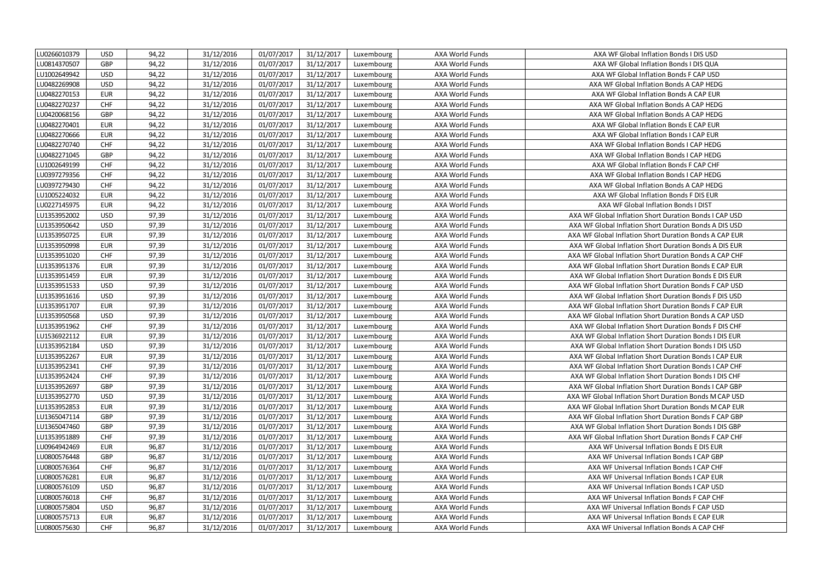| LU0266010379 | <b>USD</b> | 94,22 | 31/12/2016 | 01/07/2017 | 31/12/2017 | Luxembourg | AXA World Funds        | AXA WF Global Inflation Bonds I DIS USD                |
|--------------|------------|-------|------------|------------|------------|------------|------------------------|--------------------------------------------------------|
| LU0814370507 | GBP        | 94,22 | 31/12/2016 | 01/07/2017 | 31/12/2017 | Luxembourg | <b>AXA World Funds</b> | AXA WF Global Inflation Bonds I DIS QUA                |
| LU1002649942 | <b>USD</b> | 94,22 | 31/12/2016 | 01/07/2017 | 31/12/2017 | Luxembourg | AXA World Funds        | AXA WF Global Inflation Bonds F CAP USD                |
| LU0482269908 | <b>USD</b> | 94,22 | 31/12/2016 | 01/07/2017 | 31/12/2017 | Luxembourg | AXA World Funds        | AXA WF Global Inflation Bonds A CAP HEDG               |
| LU0482270153 | <b>EUR</b> | 94,22 | 31/12/2016 | 01/07/2017 | 31/12/2017 | Luxembourg | AXA World Funds        | AXA WF Global Inflation Bonds A CAP EUR                |
| LU0482270237 | CHF        | 94,22 | 31/12/2016 | 01/07/2017 | 31/12/2017 | Luxembourg | AXA World Funds        | AXA WF Global Inflation Bonds A CAP HEDG               |
| LU0420068156 | GBP        | 94,22 | 31/12/2016 | 01/07/2017 | 31/12/2017 | Luxembourg | AXA World Funds        | AXA WF Global Inflation Bonds A CAP HEDG               |
| LU0482270401 | <b>EUR</b> | 94,22 | 31/12/2016 | 01/07/2017 | 31/12/2017 | Luxembourg | AXA World Funds        | AXA WF Global Inflation Bonds E CAP EUR                |
| LU0482270666 | <b>EUR</b> | 94,22 | 31/12/2016 | 01/07/2017 | 31/12/2017 | Luxembourg | AXA World Funds        | AXA WF Global Inflation Bonds I CAP EUR                |
| LU0482270740 | CHF        | 94,22 | 31/12/2016 | 01/07/2017 | 31/12/2017 | Luxembourg | <b>AXA World Funds</b> | AXA WF Global Inflation Bonds I CAP HEDG               |
| LU0482271045 | GBP        | 94,22 | 31/12/2016 | 01/07/2017 | 31/12/2017 | Luxembourg | AXA World Funds        | AXA WF Global Inflation Bonds I CAP HEDG               |
| LU1002649199 | CHF        | 94,22 | 31/12/2016 | 01/07/2017 | 31/12/2017 | Luxembourg | AXA World Funds        | AXA WF Global Inflation Bonds F CAP CHF                |
| LU0397279356 | CHF        | 94,22 | 31/12/2016 | 01/07/2017 | 31/12/2017 | Luxembourg | AXA World Funds        | AXA WF Global Inflation Bonds I CAP HEDG               |
| LU0397279430 | CHF        | 94,22 | 31/12/2016 | 01/07/2017 | 31/12/2017 | Luxembourg | AXA World Funds        | AXA WF Global Inflation Bonds A CAP HEDG               |
| LU1005224032 | <b>EUR</b> | 94,22 | 31/12/2016 | 01/07/2017 | 31/12/2017 | Luxembourg | AXA World Funds        | AXA WF Global Inflation Bonds F DIS EUR                |
| LU0227145975 | <b>EUR</b> | 94,22 | 31/12/2016 | 01/07/2017 | 31/12/2017 | Luxembourg | AXA World Funds        | AXA WF Global Inflation Bonds I DIST                   |
| LU1353952002 | <b>USD</b> | 97,39 | 31/12/2016 | 01/07/2017 | 31/12/2017 | Luxembourg | AXA World Funds        | AXA WF Global Inflation Short Duration Bonds I CAP USD |
| LU1353950642 | <b>USD</b> | 97,39 | 31/12/2016 | 01/07/2017 | 31/12/2017 | Luxembourg | AXA World Funds        | AXA WF Global Inflation Short Duration Bonds A DIS USD |
| LU1353950725 | <b>EUR</b> | 97,39 | 31/12/2016 | 01/07/2017 | 31/12/2017 | Luxembourg | AXA World Funds        | AXA WF Global Inflation Short Duration Bonds A CAP EUR |
| LU1353950998 | <b>EUR</b> | 97,39 | 31/12/2016 | 01/07/2017 | 31/12/2017 | Luxembourg | AXA World Funds        | AXA WF Global Inflation Short Duration Bonds A DIS EUR |
| LU1353951020 | CHF        | 97,39 | 31/12/2016 | 01/07/2017 | 31/12/2017 | Luxembourg | AXA World Funds        | AXA WF Global Inflation Short Duration Bonds A CAP CHF |
| LU1353951376 | <b>EUR</b> | 97,39 | 31/12/2016 | 01/07/2017 | 31/12/2017 | Luxembourg | AXA World Funds        | AXA WF Global Inflation Short Duration Bonds E CAP EUR |
| LU1353951459 | <b>EUR</b> | 97,39 | 31/12/2016 | 01/07/2017 | 31/12/2017 | Luxembourg | AXA World Funds        | AXA WF Global Inflation Short Duration Bonds E DIS EUR |
| LU1353951533 | <b>USD</b> | 97,39 | 31/12/2016 | 01/07/2017 | 31/12/2017 | Luxembourg | AXA World Funds        | AXA WF Global Inflation Short Duration Bonds F CAP USD |
| LU1353951616 | <b>USD</b> | 97,39 | 31/12/2016 | 01/07/2017 | 31/12/2017 | Luxembourg | AXA World Funds        | AXA WF Global Inflation Short Duration Bonds F DIS USD |
| LU1353951707 | <b>EUR</b> | 97,39 | 31/12/2016 | 01/07/2017 | 31/12/2017 | Luxembourg | <b>AXA World Funds</b> | AXA WF Global Inflation Short Duration Bonds F CAP EUR |
| LU1353950568 | <b>USD</b> | 97,39 | 31/12/2016 | 01/07/2017 | 31/12/2017 | Luxembourg | AXA World Funds        | AXA WF Global Inflation Short Duration Bonds A CAP USD |
| LU1353951962 | CHF        | 97,39 | 31/12/2016 | 01/07/2017 | 31/12/2017 | Luxembourg | AXA World Funds        | AXA WF Global Inflation Short Duration Bonds F DIS CHF |
| LU1536922112 | <b>EUR</b> | 97,39 | 31/12/2016 | 01/07/2017 | 31/12/2017 | Luxembourg | AXA World Funds        | AXA WF Global Inflation Short Duration Bonds I DIS EUR |
| LU1353952184 | <b>USD</b> | 97,39 | 31/12/2016 | 01/07/2017 | 31/12/2017 | Luxembourg | AXA World Funds        | AXA WF Global Inflation Short Duration Bonds I DIS USD |
| LU1353952267 | <b>EUR</b> | 97,39 | 31/12/2016 | 01/07/2017 | 31/12/2017 | Luxembourg | AXA World Funds        | AXA WF Global Inflation Short Duration Bonds I CAP EUR |
| LU1353952341 | CHF        | 97,39 | 31/12/2016 | 01/07/2017 | 31/12/2017 | Luxembourg | AXA World Funds        | AXA WF Global Inflation Short Duration Bonds I CAP CHF |
| LU1353952424 | CHF        | 97,39 | 31/12/2016 | 01/07/2017 | 31/12/2017 | Luxembourg | AXA World Funds        | AXA WF Global Inflation Short Duration Bonds I DIS CHF |
| LU1353952697 | GBP        | 97,39 | 31/12/2016 | 01/07/2017 | 31/12/2017 | Luxembourg | AXA World Funds        | AXA WF Global Inflation Short Duration Bonds I CAP GBP |
| LU1353952770 | <b>USD</b> | 97,39 | 31/12/2016 | 01/07/2017 | 31/12/2017 | Luxembourg | AXA World Funds        | AXA WF Global Inflation Short Duration Bonds M CAP USD |
| LU1353952853 | <b>EUR</b> | 97,39 | 31/12/2016 | 01/07/2017 | 31/12/2017 | Luxembourg | AXA World Funds        | AXA WF Global Inflation Short Duration Bonds M CAP EUR |
| LU1365047114 | GBP        | 97,39 | 31/12/2016 | 01/07/2017 | 31/12/2017 | Luxembourg | AXA World Funds        | AXA WF Global Inflation Short Duration Bonds F CAP GBP |
| LU1365047460 | GBP        | 97,39 | 31/12/2016 | 01/07/2017 | 31/12/2017 | Luxembourg | AXA World Funds        | AXA WF Global Inflation Short Duration Bonds I DIS GBP |
| LU1353951889 | CHF        | 97,39 | 31/12/2016 | 01/07/2017 | 31/12/2017 | Luxembourg | AXA World Funds        | AXA WF Global Inflation Short Duration Bonds F CAP CHF |
| LU0964942469 | <b>EUR</b> | 96,87 | 31/12/2016 | 01/07/2017 | 31/12/2017 | Luxembourg | AXA World Funds        | AXA WF Universal Inflation Bonds E DIS EUR             |
| LU0800576448 | GBP        | 96,87 | 31/12/2016 | 01/07/2017 | 31/12/2017 | Luxembourg | AXA World Funds        | AXA WF Universal Inflation Bonds I CAP GBP             |
| LU0800576364 | CHF        | 96,87 | 31/12/2016 | 01/07/2017 | 31/12/2017 | Luxembourg | AXA World Funds        | AXA WF Universal Inflation Bonds I CAP CHF             |
| LU0800576281 | <b>EUR</b> | 96,87 | 31/12/2016 | 01/07/2017 | 31/12/2017 | Luxembourg | AXA World Funds        | AXA WF Universal Inflation Bonds I CAP EUR             |
| LU0800576109 | <b>USD</b> | 96,87 | 31/12/2016 | 01/07/2017 | 31/12/2017 | Luxembourg | AXA World Funds        | AXA WF Universal Inflation Bonds I CAP USD             |
| LU0800576018 | CHF        | 96,87 | 31/12/2016 | 01/07/2017 | 31/12/2017 | Luxembourg | AXA World Funds        | AXA WF Universal Inflation Bonds F CAP CHF             |
| LU0800575804 | <b>USD</b> | 96,87 | 31/12/2016 | 01/07/2017 | 31/12/2017 | Luxembourg | AXA World Funds        | AXA WF Universal Inflation Bonds F CAP USD             |
| LU0800575713 | <b>EUR</b> | 96,87 | 31/12/2016 | 01/07/2017 | 31/12/2017 | Luxembourg | AXA World Funds        | AXA WF Universal Inflation Bonds E CAP EUR             |
| LU0800575630 | CHF        | 96,87 | 31/12/2016 | 01/07/2017 | 31/12/2017 | Luxembourg | AXA World Funds        | AXA WF Universal Inflation Bonds A CAP CHF             |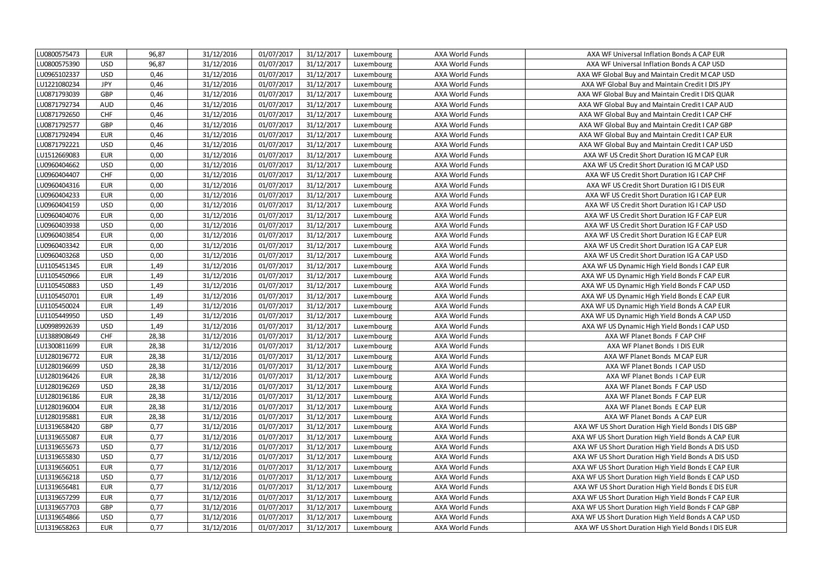| LU0800575473 | <b>EUR</b> | 96,87 | 31/12/2016 | 01/07/2017 | 31/12/2017 | Luxembourg | AXA World Funds        | AXA WF Universal Inflation Bonds A CAP EUR          |
|--------------|------------|-------|------------|------------|------------|------------|------------------------|-----------------------------------------------------|
| LU0800575390 | <b>USD</b> | 96,87 | 31/12/2016 | 01/07/2017 | 31/12/2017 | Luxembourg | <b>AXA World Funds</b> | AXA WF Universal Inflation Bonds A CAP USD          |
| LU0965102337 | <b>USD</b> | 0,46  | 31/12/2016 | 01/07/2017 | 31/12/2017 | Luxembourg | AXA World Funds        | AXA WF Global Buy and Maintain Credit M CAP USD     |
| LU1221080234 | JPY        | 0,46  | 31/12/2016 | 01/07/2017 | 31/12/2017 | Luxembourg | AXA World Funds        | AXA WF Global Buy and Maintain Credit I DIS JPY     |
| LU0871793039 | GBP        | 0,46  | 31/12/2016 | 01/07/2017 | 31/12/2017 | Luxembourg | AXA World Funds        | AXA WF Global Buy and Maintain Credit I DIS QUAR    |
| LU0871792734 | <b>AUD</b> | 0,46  | 31/12/2016 | 01/07/2017 | 31/12/2017 | Luxembourg | AXA World Funds        | AXA WF Global Buy and Maintain Credit I CAP AUD     |
| LU0871792650 | CHF        | 0,46  | 31/12/2016 | 01/07/2017 | 31/12/2017 | Luxembourg | AXA World Funds        | AXA WF Global Buy and Maintain Credit I CAP CHF     |
| LU0871792577 | GBP        | 0,46  | 31/12/2016 | 01/07/2017 | 31/12/2017 | Luxembourg | AXA World Funds        | AXA WF Global Buy and Maintain Credit I CAP GBP     |
| LU0871792494 | <b>EUR</b> | 0,46  | 31/12/2016 | 01/07/2017 | 31/12/2017 | Luxembourg | AXA World Funds        | AXA WF Global Buy and Maintain Credit I CAP EUR     |
| LU0871792221 | <b>USD</b> | 0,46  | 31/12/2016 | 01/07/2017 | 31/12/2017 | Luxembourg | AXA World Funds        | AXA WF Global Buy and Maintain Credit I CAP USD     |
| LU1512669083 | <b>EUR</b> | 0,00  | 31/12/2016 | 01/07/2017 | 31/12/2017 | Luxembourg | AXA World Funds        | AXA WF US Credit Short Duration IG M CAP EUR        |
| LU0960404662 | <b>USD</b> | 0,00  | 31/12/2016 | 01/07/2017 | 31/12/2017 | Luxembourg | AXA World Funds        | AXA WF US Credit Short Duration IG M CAP USD        |
| LU0960404407 | CHF        | 0,00  | 31/12/2016 | 01/07/2017 | 31/12/2017 | Luxembourg | AXA World Funds        | AXA WF US Credit Short Duration IG I CAP CHF        |
| LU0960404316 | <b>EUR</b> | 0,00  | 31/12/2016 | 01/07/2017 | 31/12/2017 | Luxembourg | AXA World Funds        | AXA WF US Credit Short Duration IG I DIS EUR        |
| LU0960404233 | <b>EUR</b> | 0,00  | 31/12/2016 | 01/07/2017 | 31/12/2017 | Luxembourg | AXA World Funds        | AXA WF US Credit Short Duration IG I CAP EUR        |
| LU0960404159 | <b>USD</b> | 0,00  | 31/12/2016 | 01/07/2017 | 31/12/2017 | Luxembourg | AXA World Funds        | AXA WF US Credit Short Duration IG I CAP USD        |
| LU0960404076 | <b>EUR</b> | 0,00  | 31/12/2016 | 01/07/2017 | 31/12/2017 | Luxembourg | <b>AXA World Funds</b> | AXA WF US Credit Short Duration IG F CAP EUR        |
| LU0960403938 | <b>USD</b> | 0,00  | 31/12/2016 | 01/07/2017 | 31/12/2017 | Luxembourg | AXA World Funds        | AXA WF US Credit Short Duration IG F CAP USD        |
| LU0960403854 | <b>EUR</b> | 0,00  | 31/12/2016 | 01/07/2017 | 31/12/2017 | Luxembourg | AXA World Funds        | AXA WF US Credit Short Duration IG E CAP EUR        |
| LU0960403342 | <b>EUR</b> | 0,00  | 31/12/2016 | 01/07/2017 | 31/12/2017 | Luxembourg | AXA World Funds        | AXA WF US Credit Short Duration IG A CAP EUR        |
| LU0960403268 | <b>USD</b> | 0,00  | 31/12/2016 | 01/07/2017 | 31/12/2017 | Luxembourg | AXA World Funds        | AXA WF US Credit Short Duration IG A CAP USD        |
| LU1105451345 | <b>EUR</b> | 1,49  | 31/12/2016 | 01/07/2017 | 31/12/2017 | Luxembourg | AXA World Funds        | AXA WF US Dynamic High Yield Bonds I CAP EUR        |
| LU1105450966 | <b>EUR</b> | 1,49  | 31/12/2016 | 01/07/2017 | 31/12/2017 | Luxembourg | AXA World Funds        | AXA WF US Dynamic High Yield Bonds F CAP EUR        |
| LU1105450883 | <b>USD</b> | 1,49  | 31/12/2016 | 01/07/2017 | 31/12/2017 | Luxembourg | AXA World Funds        | AXA WF US Dynamic High Yield Bonds F CAP USD        |
| LU1105450701 | <b>EUR</b> | 1,49  | 31/12/2016 | 01/07/2017 | 31/12/2017 | Luxembourg | AXA World Funds        | AXA WF US Dynamic High Yield Bonds E CAP EUR        |
| LU1105450024 | <b>EUR</b> | 1,49  | 31/12/2016 | 01/07/2017 | 31/12/2017 | Luxembourg | AXA World Funds        | AXA WF US Dynamic High Yield Bonds A CAP EUR        |
| LU1105449950 | <b>USD</b> | 1,49  | 31/12/2016 | 01/07/2017 | 31/12/2017 | Luxembourg | AXA World Funds        | AXA WF US Dynamic High Yield Bonds A CAP USD        |
| LU0998992639 | <b>USD</b> | 1,49  | 31/12/2016 | 01/07/2017 | 31/12/2017 | Luxembourg | AXA World Funds        | AXA WF US Dynamic High Yield Bonds I CAP USD        |
| LU1388908649 | CHF        | 28,38 | 31/12/2016 | 01/07/2017 | 31/12/2017 | Luxembourg | AXA World Funds        | AXA WF Planet Bonds F CAP CHF                       |
| LU1300811699 | <b>EUR</b> | 28,38 | 31/12/2016 | 01/07/2017 | 31/12/2017 | Luxembourg | AXA World Funds        | AXA WF Planet Bonds I DIS EUR                       |
| LU1280196772 | <b>EUR</b> | 28,38 | 31/12/2016 | 01/07/2017 | 31/12/2017 | Luxembourg | AXA World Funds        | AXA WF Planet Bonds M CAP EUR                       |
| LU1280196699 | <b>USD</b> | 28,38 | 31/12/2016 | 01/07/2017 | 31/12/2017 | Luxembourg | AXA World Funds        | AXA WF Planet Bonds I CAP USD                       |
| LU1280196426 | <b>EUR</b> | 28,38 | 31/12/2016 | 01/07/2017 | 31/12/2017 | Luxembourg | AXA World Funds        | AXA WF Planet Bonds I CAP EUR                       |
| LU1280196269 | <b>USD</b> | 28,38 | 31/12/2016 | 01/07/2017 | 31/12/2017 | Luxembourg | AXA World Funds        | AXA WF Planet Bonds F CAP USD                       |
| LU1280196186 | <b>EUR</b> | 28,38 | 31/12/2016 | 01/07/2017 | 31/12/2017 | Luxembourg | AXA World Funds        | AXA WF Planet Bonds F CAP EUR                       |
| LU1280196004 | <b>EUR</b> | 28,38 | 31/12/2016 | 01/07/2017 | 31/12/2017 | Luxembourg | AXA World Funds        | AXA WF Planet Bonds E CAP EUR                       |
| LU1280195881 | <b>EUR</b> | 28,38 | 31/12/2016 | 01/07/2017 | 31/12/2017 | Luxembourg | AXA World Funds        | AXA WF Planet Bonds A CAP EUR                       |
| LU1319658420 | GBP        | 0,77  | 31/12/2016 | 01/07/2017 | 31/12/2017 | Luxembourg | AXA World Funds        | AXA WF US Short Duration High Yield Bonds I DIS GBP |
| LU1319655087 | <b>EUR</b> | 0,77  | 31/12/2016 | 01/07/2017 | 31/12/2017 | Luxembourg | AXA World Funds        | AXA WF US Short Duration High Yield Bonds A CAP EUR |
| LU1319655673 | <b>USD</b> | 0,77  | 31/12/2016 | 01/07/2017 | 31/12/2017 | Luxembourg | AXA World Funds        | AXA WF US Short Duration High Yield Bonds A DIS USD |
| LU1319655830 | <b>USD</b> | 0,77  | 31/12/2016 | 01/07/2017 | 31/12/2017 | Luxembourg | AXA World Funds        | AXA WF US Short Duration High Yield Bonds A DIS USD |
| LU1319656051 | <b>EUR</b> | 0,77  | 31/12/2016 | 01/07/2017 | 31/12/2017 | Luxembourg | AXA World Funds        | AXA WF US Short Duration High Yield Bonds E CAP EUR |
| LU1319656218 | <b>USD</b> | 0,77  | 31/12/2016 | 01/07/2017 | 31/12/2017 | Luxembourg | AXA World Funds        | AXA WF US Short Duration High Yield Bonds E CAP USD |
| LU1319656481 | <b>EUR</b> | 0,77  | 31/12/2016 | 01/07/2017 | 31/12/2017 | Luxembourg | AXA World Funds        | AXA WF US Short Duration High Yield Bonds E DIS EUR |
| LU1319657299 | <b>EUR</b> | 0,77  | 31/12/2016 | 01/07/2017 | 31/12/2017 | Luxembourg | AXA World Funds        | AXA WF US Short Duration High Yield Bonds F CAP EUR |
| LU1319657703 | GBP        | 0,77  | 31/12/2016 | 01/07/2017 | 31/12/2017 | Luxembourg | AXA World Funds        | AXA WF US Short Duration High Yield Bonds F CAP GBP |
| LU1319654866 | <b>USD</b> | 0,77  | 31/12/2016 | 01/07/2017 | 31/12/2017 | Luxembourg | AXA World Funds        | AXA WF US Short Duration High Yield Bonds A CAP USD |
| LU1319658263 | <b>EUR</b> | 0,77  | 31/12/2016 | 01/07/2017 | 31/12/2017 | Luxembourg | AXA World Funds        | AXA WF US Short Duration High Yield Bonds I DIS EUR |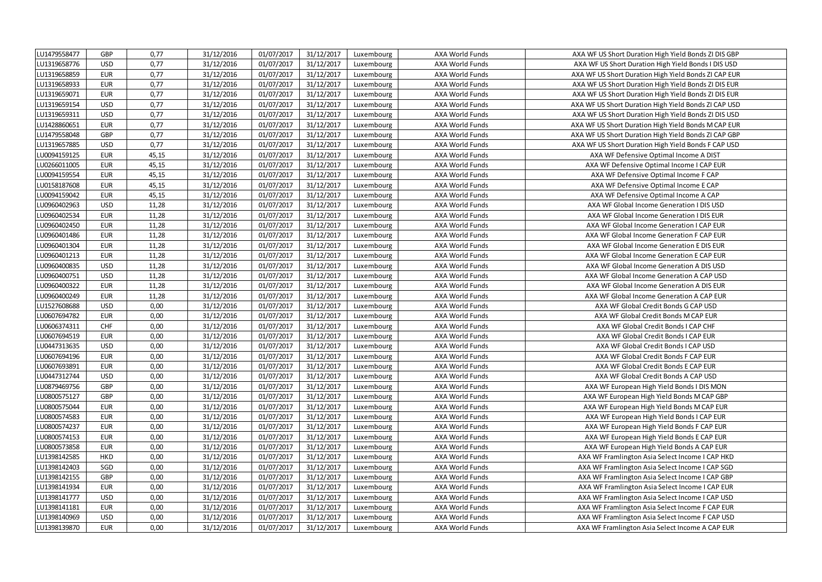| LU1479558477 | GBP        | 0,77  | 31/12/2016 | 01/07/2017 | 31/12/2017 | Luxembourg | AXA World Funds        | AXA WF US Short Duration High Yield Bonds ZI DIS GBP |
|--------------|------------|-------|------------|------------|------------|------------|------------------------|------------------------------------------------------|
| LU1319658776 | <b>USD</b> | 0,77  | 31/12/2016 | 01/07/2017 | 31/12/2017 | Luxembourg | <b>AXA World Funds</b> | AXA WF US Short Duration High Yield Bonds I DIS USD  |
| LU1319658859 | <b>EUR</b> | 0,77  | 31/12/2016 | 01/07/2017 | 31/12/2017 | Luxembourg | AXA World Funds        | AXA WF US Short Duration High Yield Bonds ZI CAP EUR |
| LU1319658933 | <b>EUR</b> | 0,77  | 31/12/2016 | 01/07/2017 | 31/12/2017 | Luxembourg | AXA World Funds        | AXA WF US Short Duration High Yield Bonds ZI DIS EUR |
| LU1319659071 | <b>EUR</b> | 0,77  | 31/12/2016 | 01/07/2017 | 31/12/2017 | Luxembourg | AXA World Funds        | AXA WF US Short Duration High Yield Bonds ZI DIS EUR |
| LU1319659154 | <b>USD</b> | 0,77  | 31/12/2016 | 01/07/2017 | 31/12/2017 | Luxembourg | AXA World Funds        | AXA WF US Short Duration High Yield Bonds ZI CAP USD |
| LU1319659311 | <b>USD</b> | 0,77  | 31/12/2016 | 01/07/2017 | 31/12/2017 | Luxembourg | AXA World Funds        | AXA WF US Short Duration High Yield Bonds ZI DIS USD |
| LU1428860651 | <b>EUR</b> | 0,77  | 31/12/2016 | 01/07/2017 | 31/12/2017 | Luxembourg | AXA World Funds        | AXA WF US Short Duration High Yield Bonds M CAP EUR  |
| LU1479558048 | GBP        | 0,77  | 31/12/2016 | 01/07/2017 | 31/12/2017 | Luxembourg | AXA World Funds        | AXA WF US Short Duration High Yield Bonds ZI CAP GBP |
| LU1319657885 | <b>USD</b> | 0,77  | 31/12/2016 | 01/07/2017 | 31/12/2017 | Luxembourg | AXA World Funds        | AXA WF US Short Duration High Yield Bonds F CAP USD  |
| LU0094159125 | <b>EUR</b> | 45,15 | 31/12/2016 | 01/07/2017 | 31/12/2017 | Luxembourg | AXA World Funds        | AXA WF Defensive Optimal Income A DIST               |
| LU0266011005 | <b>EUR</b> | 45,15 | 31/12/2016 | 01/07/2017 | 31/12/2017 | Luxembourg | AXA World Funds        | AXA WF Defensive Optimal Income I CAP EUR            |
| LU0094159554 | <b>EUR</b> | 45,15 | 31/12/2016 | 01/07/2017 | 31/12/2017 | Luxembourg | AXA World Funds        | AXA WF Defensive Optimal Income F CAP                |
| LU0158187608 | <b>EUR</b> | 45,15 | 31/12/2016 | 01/07/2017 | 31/12/2017 | Luxembourg | AXA World Funds        | AXA WF Defensive Optimal Income E CAP                |
| LU0094159042 | <b>EUR</b> | 45,15 | 31/12/2016 | 01/07/2017 | 31/12/2017 | Luxembourg | AXA World Funds        | AXA WF Defensive Optimal Income A CAP                |
| LU0960402963 | <b>USD</b> | 11,28 | 31/12/2016 | 01/07/2017 | 31/12/2017 | Luxembourg | AXA World Funds        | AXA WF Global Income Generation I DIS USD            |
| LU0960402534 | <b>EUR</b> | 11,28 | 31/12/2016 | 01/07/2017 | 31/12/2017 | Luxembourg | <b>AXA World Funds</b> | AXA WF Global Income Generation I DIS EUR            |
| LU0960402450 | <b>EUR</b> | 11,28 | 31/12/2016 | 01/07/2017 | 31/12/2017 | Luxembourg | AXA World Funds        | AXA WF Global Income Generation I CAP EUR            |
| LU0960401486 | <b>EUR</b> | 11,28 | 31/12/2016 | 01/07/2017 | 31/12/2017 | Luxembourg | AXA World Funds        | AXA WF Global Income Generation F CAP EUR            |
| LU0960401304 | <b>EUR</b> | 11,28 | 31/12/2016 | 01/07/2017 | 31/12/2017 | Luxembourg | AXA World Funds        | AXA WF Global Income Generation E DIS EUR            |
| LU0960401213 | <b>EUR</b> | 11,28 | 31/12/2016 | 01/07/2017 | 31/12/2017 | Luxembourg | AXA World Funds        | AXA WF Global Income Generation E CAP EUR            |
| LU0960400835 | <b>USD</b> | 11,28 | 31/12/2016 | 01/07/2017 | 31/12/2017 | Luxembourg | AXA World Funds        | AXA WF Global Income Generation A DIS USD            |
| LU0960400751 | <b>USD</b> | 11,28 | 31/12/2016 | 01/07/2017 | 31/12/2017 | Luxembourg | AXA World Funds        | AXA WF Global Income Generation A CAP USD            |
| LU0960400322 | <b>EUR</b> | 11,28 | 31/12/2016 | 01/07/2017 | 31/12/2017 | Luxembourg | AXA World Funds        | AXA WF Global Income Generation A DIS EUR            |
| LU0960400249 | <b>EUR</b> | 11,28 | 31/12/2016 | 01/07/2017 | 31/12/2017 | Luxembourg | AXA World Funds        | AXA WF Global Income Generation A CAP EUR            |
| LU1527608688 | <b>USD</b> | 0,00  | 31/12/2016 | 01/07/2017 | 31/12/2017 | Luxembourg | AXA World Funds        | AXA WF Global Credit Bonds G CAP USD                 |
| LU0607694782 | <b>EUR</b> | 0,00  | 31/12/2016 | 01/07/2017 | 31/12/2017 | Luxembourg | AXA World Funds        | AXA WF Global Credit Bonds M CAP EUR                 |
| LU0606374311 | CHF        | 0,00  | 31/12/2016 | 01/07/2017 | 31/12/2017 | Luxembourg | AXA World Funds        | AXA WF Global Credit Bonds I CAP CHF                 |
| LU0607694519 | <b>EUR</b> | 0,00  | 31/12/2016 | 01/07/2017 | 31/12/2017 | Luxembourg | AXA World Funds        | AXA WF Global Credit Bonds I CAP EUR                 |
| LU0447313635 | <b>USD</b> | 0,00  | 31/12/2016 | 01/07/2017 | 31/12/2017 | Luxembourg | AXA World Funds        | AXA WF Global Credit Bonds I CAP USD                 |
| LU0607694196 | <b>EUR</b> | 0,00  | 31/12/2016 | 01/07/2017 | 31/12/2017 | Luxembourg | AXA World Funds        | AXA WF Global Credit Bonds F CAP EUR                 |
| LU0607693891 | <b>EUR</b> | 0,00  | 31/12/2016 | 01/07/2017 | 31/12/2017 | Luxembourg | AXA World Funds        | AXA WF Global Credit Bonds E CAP EUR                 |
| LU0447312744 | <b>USD</b> | 0,00  | 31/12/2016 | 01/07/2017 | 31/12/2017 | Luxembourg | AXA World Funds        | AXA WF Global Credit Bonds A CAP USD                 |
| LU0879469756 | GBP        | 0,00  | 31/12/2016 | 01/07/2017 | 31/12/2017 | Luxembourg | AXA World Funds        | AXA WF European High Yield Bonds I DIS MON           |
| LU0800575127 | GBP        | 0,00  | 31/12/2016 | 01/07/2017 | 31/12/2017 | Luxembourg | AXA World Funds        | AXA WF European High Yield Bonds M CAP GBP           |
| LU0800575044 | <b>EUR</b> | 0,00  | 31/12/2016 | 01/07/2017 | 31/12/2017 | Luxembourg | AXA World Funds        | AXA WF European High Yield Bonds M CAP EUR           |
| LU0800574583 | <b>EUR</b> | 0,00  | 31/12/2016 | 01/07/2017 | 31/12/2017 | Luxembourg | AXA World Funds        | AXA WF European High Yield Bonds I CAP EUR           |
| LU0800574237 | <b>EUR</b> | 0,00  | 31/12/2016 | 01/07/2017 | 31/12/2017 | Luxembourg | AXA World Funds        | AXA WF European High Yield Bonds F CAP EUR           |
| LU0800574153 | <b>EUR</b> | 0,00  | 31/12/2016 | 01/07/2017 | 31/12/2017 | Luxembourg | AXA World Funds        | AXA WF European High Yield Bonds E CAP EUR           |
| LU0800573858 | <b>EUR</b> | 0,00  | 31/12/2016 | 01/07/2017 | 31/12/2017 | Luxembourg | AXA World Funds        | AXA WF European High Yield Bonds A CAP EUR           |
| LU1398142585 | <b>HKD</b> | 0,00  | 31/12/2016 | 01/07/2017 | 31/12/2017 | Luxembourg | AXA World Funds        | AXA WF Framlington Asia Select Income I CAP HKD      |
| LU1398142403 | SGD        | 0,00  | 31/12/2016 | 01/07/2017 | 31/12/2017 | Luxembourg | AXA World Funds        | AXA WF Framlington Asia Select Income I CAP SGD      |
| LU1398142155 | GBP        | 0,00  | 31/12/2016 | 01/07/2017 | 31/12/2017 | Luxembourg | AXA World Funds        | AXA WF Framlington Asia Select Income I CAP GBP      |
| LU1398141934 | <b>EUR</b> | 0,00  | 31/12/2016 | 01/07/2017 | 31/12/2017 | Luxembourg | AXA World Funds        | AXA WF Framlington Asia Select Income I CAP EUR      |
| LU1398141777 | <b>USD</b> | 0,00  | 31/12/2016 | 01/07/2017 | 31/12/2017 | Luxembourg | AXA World Funds        | AXA WF Framlington Asia Select Income I CAP USD      |
| LU1398141181 | <b>EUR</b> | 0,00  | 31/12/2016 | 01/07/2017 | 31/12/2017 | Luxembourg | AXA World Funds        | AXA WF Framlington Asia Select Income F CAP EUR      |
| LU1398140969 | <b>USD</b> | 0,00  | 31/12/2016 | 01/07/2017 | 31/12/2017 | Luxembourg | AXA World Funds        | AXA WF Framlington Asia Select Income F CAP USD      |
| LU1398139870 | <b>EUR</b> | 0,00  | 31/12/2016 | 01/07/2017 | 31/12/2017 | Luxembourg | AXA World Funds        | AXA WF Framlington Asia Select Income A CAP EUR      |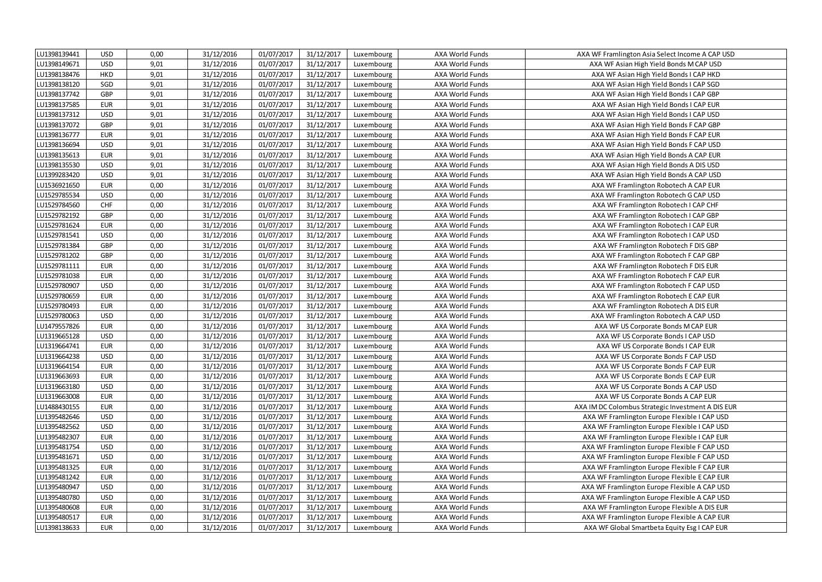| LU1398139441 | <b>USD</b> | 0,00 | 31/12/2016 | 01/07/2017 | 31/12/2017 | Luxembourg | AXA World Funds        | AXA WF Framlington Asia Select Income A CAP USD   |
|--------------|------------|------|------------|------------|------------|------------|------------------------|---------------------------------------------------|
| LU1398149671 | <b>USD</b> | 9,01 | 31/12/2016 | 01/07/2017 | 31/12/2017 | Luxembourg | <b>AXA World Funds</b> | AXA WF Asian High Yield Bonds M CAP USD           |
| LU1398138476 | <b>HKD</b> | 9,01 | 31/12/2016 | 01/07/2017 | 31/12/2017 | Luxembourg | AXA World Funds        | AXA WF Asian High Yield Bonds I CAP HKD           |
| LU1398138120 | SGD        | 9,01 | 31/12/2016 | 01/07/2017 | 31/12/2017 | Luxembourg | AXA World Funds        | AXA WF Asian High Yield Bonds I CAP SGD           |
| LU1398137742 | GBP        | 9,01 | 31/12/2016 | 01/07/2017 | 31/12/2017 | Luxembourg | AXA World Funds        | AXA WF Asian High Yield Bonds I CAP GBP           |
| LU1398137585 | <b>EUR</b> | 9,01 | 31/12/2016 | 01/07/2017 | 31/12/2017 | Luxembourg | AXA World Funds        | AXA WF Asian High Yield Bonds I CAP EUR           |
| LU1398137312 | <b>USD</b> | 9,01 | 31/12/2016 | 01/07/2017 | 31/12/2017 | Luxembourg | AXA World Funds        | AXA WF Asian High Yield Bonds I CAP USD           |
| LU1398137072 | GBP        | 9,01 | 31/12/2016 | 01/07/2017 | 31/12/2017 | Luxembourg | AXA World Funds        | AXA WF Asian High Yield Bonds F CAP GBP           |
| LU1398136777 | <b>EUR</b> | 9,01 | 31/12/2016 | 01/07/2017 | 31/12/2017 | Luxembourg | AXA World Funds        | AXA WF Asian High Yield Bonds F CAP EUR           |
| LU1398136694 | <b>USD</b> | 9,01 | 31/12/2016 | 01/07/2017 | 31/12/2017 | Luxembourg | AXA World Funds        | AXA WF Asian High Yield Bonds F CAP USD           |
| LU1398135613 | <b>EUR</b> | 9,01 | 31/12/2016 | 01/07/2017 | 31/12/2017 | Luxembourg | AXA World Funds        | AXA WF Asian High Yield Bonds A CAP EUR           |
| LU1398135530 | <b>USD</b> | 9,01 | 31/12/2016 | 01/07/2017 | 31/12/2017 | Luxembourg | AXA World Funds        | AXA WF Asian High Yield Bonds A DIS USD           |
| LU1399283420 | <b>USD</b> | 9,01 | 31/12/2016 | 01/07/2017 | 31/12/2017 | Luxembourg | AXA World Funds        | AXA WF Asian High Yield Bonds A CAP USD           |
| LU1536921650 | <b>EUR</b> | 0,00 | 31/12/2016 | 01/07/2017 | 31/12/2017 | Luxembourg | AXA World Funds        | AXA WF Framlington Robotech A CAP EUR             |
| LU1529785534 | <b>USD</b> | 0,00 | 31/12/2016 | 01/07/2017 | 31/12/2017 | Luxembourg | AXA World Funds        | AXA WF Framlington Robotech G CAP USD             |
| LU1529784560 | CHF        | 0,00 | 31/12/2016 | 01/07/2017 | 31/12/2017 | Luxembourg | AXA World Funds        | AXA WF Framlington Robotech I CAP CHF             |
| LU1529782192 | GBP        | 0,00 | 31/12/2016 | 01/07/2017 | 31/12/2017 | Luxembourg | <b>AXA World Funds</b> | AXA WF Framlington Robotech I CAP GBP             |
| LU1529781624 | <b>EUR</b> | 0,00 | 31/12/2016 | 01/07/2017 | 31/12/2017 | Luxembourg | AXA World Funds        | AXA WF Framlington Robotech I CAP EUR             |
| LU1529781541 | <b>USD</b> | 0,00 | 31/12/2016 | 01/07/2017 | 31/12/2017 | Luxembourg | AXA World Funds        | AXA WF Framlington Robotech I CAP USD             |
| LU1529781384 | GBP        | 0,00 | 31/12/2016 | 01/07/2017 | 31/12/2017 | Luxembourg | AXA World Funds        | AXA WF Framlington Robotech F DIS GBP             |
| LU1529781202 | GBP        | 0,00 | 31/12/2016 | 01/07/2017 | 31/12/2017 | Luxembourg | AXA World Funds        | AXA WF Framlington Robotech F CAP GBP             |
| LU1529781111 | <b>EUR</b> | 0,00 | 31/12/2016 | 01/07/2017 | 31/12/2017 | Luxembourg | AXA World Funds        | AXA WF Framlington Robotech F DIS EUR             |
| LU1529781038 | <b>EUR</b> | 0,00 | 31/12/2016 | 01/07/2017 | 31/12/2017 | Luxembourg | AXA World Funds        | AXA WF Framlington Robotech F CAP EUR             |
| LU1529780907 | <b>USD</b> | 0,00 | 31/12/2016 | 01/07/2017 | 31/12/2017 | Luxembourg | AXA World Funds        | AXA WF Framlington Robotech F CAP USD             |
| LU1529780659 | <b>EUR</b> | 0,00 | 31/12/2016 | 01/07/2017 | 31/12/2017 | Luxembourg | AXA World Funds        | AXA WF Framlington Robotech E CAP EUR             |
| LU1529780493 | <b>EUR</b> | 0,00 | 31/12/2016 | 01/07/2017 | 31/12/2017 | Luxembourg | AXA World Funds        | AXA WF Framlington Robotech A DIS EUR             |
| LU1529780063 | <b>USD</b> | 0,00 | 31/12/2016 | 01/07/2017 | 31/12/2017 | Luxembourg | AXA World Funds        | AXA WF Framlington Robotech A CAP USD             |
| LU1479557826 | <b>EUR</b> | 0,00 | 31/12/2016 | 01/07/2017 | 31/12/2017 | Luxembourg | AXA World Funds        | AXA WF US Corporate Bonds M CAP EUR               |
| LU1319665128 | <b>USD</b> | 0,00 | 31/12/2016 | 01/07/2017 | 31/12/2017 | Luxembourg | AXA World Funds        | AXA WF US Corporate Bonds I CAP USD               |
| LU1319664741 | <b>EUR</b> | 0,00 | 31/12/2016 | 01/07/2017 | 31/12/2017 | Luxembourg | AXA World Funds        | AXA WF US Corporate Bonds I CAP EUR               |
| LU1319664238 | <b>USD</b> | 0,00 | 31/12/2016 | 01/07/2017 | 31/12/2017 | Luxembourg | AXA World Funds        | AXA WF US Corporate Bonds F CAP USD               |
| LU1319664154 | <b>EUR</b> | 0,00 | 31/12/2016 | 01/07/2017 | 31/12/2017 | Luxembourg | AXA World Funds        | AXA WF US Corporate Bonds F CAP EUR               |
| LU1319663693 | <b>EUR</b> | 0,00 | 31/12/2016 | 01/07/2017 | 31/12/2017 | Luxembourg | AXA World Funds        | AXA WF US Corporate Bonds E CAP EUR               |
| LU1319663180 | <b>USD</b> | 0,00 | 31/12/2016 | 01/07/2017 | 31/12/2017 | Luxembourg | AXA World Funds        | AXA WF US Corporate Bonds A CAP USD               |
| LU1319663008 | <b>EUR</b> | 0,00 | 31/12/2016 | 01/07/2017 | 31/12/2017 | Luxembourg | AXA World Funds        | AXA WF US Corporate Bonds A CAP EUR               |
| LU1488430155 | <b>EUR</b> | 0,00 | 31/12/2016 | 01/07/2017 | 31/12/2017 | Luxembourg | AXA World Funds        | AXA IM DC Colombus Strategic Investment A DIS EUR |
| LU1395482646 | <b>USD</b> | 0,00 | 31/12/2016 | 01/07/2017 | 31/12/2017 | Luxembourg | AXA World Funds        | AXA WF Framlington Europe Flexible I CAP USD      |
| LU1395482562 | <b>USD</b> | 0,00 | 31/12/2016 | 01/07/2017 | 31/12/2017 | Luxembourg | AXA World Funds        | AXA WF Framlington Europe Flexible I CAP USD      |
| LU1395482307 | <b>EUR</b> | 0,00 | 31/12/2016 | 01/07/2017 | 31/12/2017 | Luxembourg | AXA World Funds        | AXA WF Framlington Europe Flexible I CAP EUR      |
| LU1395481754 | <b>USD</b> | 0,00 | 31/12/2016 | 01/07/2017 | 31/12/2017 | Luxembourg | AXA World Funds        | AXA WF Framlington Europe Flexible F CAP USD      |
| LU1395481671 | <b>USD</b> | 0,00 | 31/12/2016 | 01/07/2017 | 31/12/2017 | Luxembourg | AXA World Funds        | AXA WF Framlington Europe Flexible F CAP USD      |
| LU1395481325 | <b>EUR</b> | 0,00 | 31/12/2016 | 01/07/2017 | 31/12/2017 | Luxembourg | AXA World Funds        | AXA WF Framlington Europe Flexible F CAP EUR      |
| LU1395481242 | <b>EUR</b> | 0,00 | 31/12/2016 | 01/07/2017 | 31/12/2017 | Luxembourg | AXA World Funds        | AXA WF Framlington Europe Flexible E CAP EUR      |
| LU1395480947 | <b>USD</b> | 0,00 | 31/12/2016 | 01/07/2017 | 31/12/2017 | Luxembourg | AXA World Funds        | AXA WF Framlington Europe Flexible A CAP USD      |
| LU1395480780 | <b>USD</b> | 0,00 | 31/12/2016 | 01/07/2017 | 31/12/2017 | Luxembourg | AXA World Funds        | AXA WF Framlington Europe Flexible A CAP USD      |
| LU1395480608 | <b>EUR</b> | 0,00 | 31/12/2016 | 01/07/2017 | 31/12/2017 | Luxembourg | AXA World Funds        | AXA WF Framlington Europe Flexible A DIS EUR      |
| LU1395480517 | <b>EUR</b> | 0,00 | 31/12/2016 | 01/07/2017 | 31/12/2017 | Luxembourg | AXA World Funds        | AXA WF Framlington Europe Flexible A CAP EUR      |
| LU1398138633 | <b>EUR</b> | 0,00 | 31/12/2016 | 01/07/2017 | 31/12/2017 | Luxembourg | AXA World Funds        | AXA WF Global Smartbeta Equity Esg I CAP EUR      |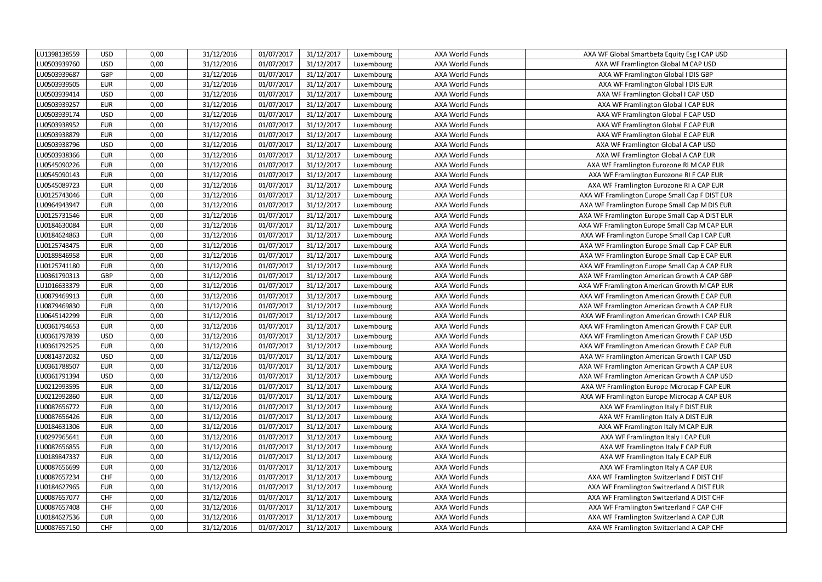| LU1398138559 | <b>USD</b> | 0,00 | 31/12/2016 | 01/07/2017 | 31/12/2017 | Luxembourg | AXA World Funds        | AXA WF Global Smartbeta Equity Esg I CAP USD   |
|--------------|------------|------|------------|------------|------------|------------|------------------------|------------------------------------------------|
| LU0503939760 | <b>USD</b> | 0,00 | 31/12/2016 | 01/07/2017 | 31/12/2017 | Luxembourg | AXA World Funds        | AXA WF Framlington Global M CAP USD            |
| LU0503939687 | GBP        | 0,00 | 31/12/2016 | 01/07/2017 | 31/12/2017 | Luxembourg | AXA World Funds        | AXA WF Framlington Global I DIS GBP            |
| LU0503939505 | <b>EUR</b> | 0,00 | 31/12/2016 | 01/07/2017 | 31/12/2017 | Luxembourg | AXA World Funds        | AXA WF Framlington Global I DIS EUR            |
| LU0503939414 | <b>USD</b> | 0,00 | 31/12/2016 | 01/07/2017 | 31/12/2017 | Luxembourg | AXA World Funds        | AXA WF Framlington Global I CAP USD            |
| LU0503939257 | <b>EUR</b> | 0,00 | 31/12/2016 | 01/07/2017 | 31/12/2017 | Luxembourg | AXA World Funds        | AXA WF Framlington Global I CAP EUR            |
| LU0503939174 | <b>USD</b> | 0,00 | 31/12/2016 | 01/07/2017 | 31/12/2017 | Luxembourg | AXA World Funds        | AXA WF Framlington Global F CAP USD            |
| LU0503938952 | <b>EUR</b> | 0,00 | 31/12/2016 | 01/07/2017 | 31/12/2017 | Luxembourg | AXA World Funds        | AXA WF Framlington Global F CAP EUR            |
| LU0503938879 | <b>EUR</b> | 0,00 | 31/12/2016 | 01/07/2017 | 31/12/2017 | Luxembourg | <b>AXA World Funds</b> | AXA WF Framlington Global E CAP EUR            |
| LU0503938796 | <b>USD</b> | 0,00 | 31/12/2016 | 01/07/2017 | 31/12/2017 | Luxembourg | AXA World Funds        | AXA WF Framlington Global A CAP USD            |
| LU0503938366 | <b>EUR</b> | 0,00 | 31/12/2016 | 01/07/2017 | 31/12/2017 | Luxembourg | AXA World Funds        | AXA WF Framlington Global A CAP EUR            |
| LU0545090226 | <b>EUR</b> | 0,00 | 31/12/2016 | 01/07/2017 | 31/12/2017 | Luxembourg | AXA World Funds        | AXA WF Framlington Eurozone RI M CAP EUR       |
| LU0545090143 | <b>EUR</b> | 0,00 | 31/12/2016 | 01/07/2017 | 31/12/2017 | Luxembourg | AXA World Funds        | AXA WF Framlington Eurozone RI F CAP EUR       |
| LU0545089723 | <b>EUR</b> | 0,00 | 31/12/2016 | 01/07/2017 | 31/12/2017 | Luxembourg | AXA World Funds        | AXA WF Framlington Eurozone RI A CAP EUR       |
| LU0125743046 | <b>EUR</b> | 0,00 | 31/12/2016 | 01/07/2017 | 31/12/2017 | Luxembourg | AXA World Funds        | AXA WF Framlington Europe Small Cap F DIST EUR |
| LU0964943947 | <b>EUR</b> | 0,00 | 31/12/2016 | 01/07/2017 | 31/12/2017 | Luxembourg | <b>AXA World Funds</b> | AXA WF Framlington Europe Small Cap M DIS EUR  |
| LU0125731546 | <b>EUR</b> | 0,00 | 31/12/2016 | 01/07/2017 | 31/12/2017 | Luxembourg | AXA World Funds        | AXA WF Framlington Europe Small Cap A DIST EUR |
| LU0184630084 | <b>EUR</b> | 0,00 | 31/12/2016 | 01/07/2017 | 31/12/2017 | Luxembourg | AXA World Funds        | AXA WF Framlington Europe Small Cap M CAP EUR  |
| LU0184624863 | <b>EUR</b> | 0,00 | 31/12/2016 | 01/07/2017 | 31/12/2017 | Luxembourg | AXA World Funds        | AXA WF Framlington Europe Small Cap I CAP EUR  |
| LU0125743475 | <b>EUR</b> | 0,00 | 31/12/2016 | 01/07/2017 | 31/12/2017 | Luxembourg | AXA World Funds        | AXA WF Framlington Europe Small Cap F CAP EUR  |
| LU0189846958 | <b>EUR</b> | 0,00 | 31/12/2016 | 01/07/2017 | 31/12/2017 | Luxembourg | AXA World Funds        | AXA WF Framlington Europe Small Cap E CAP EUR  |
| LU0125741180 | <b>EUR</b> | 0,00 | 31/12/2016 | 01/07/2017 | 31/12/2017 | Luxembourg | AXA World Funds        | AXA WF Framlington Europe Small Cap A CAP EUR  |
| LU0361790313 | GBP        | 0,00 | 31/12/2016 | 01/07/2017 | 31/12/2017 | Luxembourg | AXA World Funds        | AXA WF Framlington American Growth A CAP GBP   |
| LU1016633379 | <b>EUR</b> | 0,00 | 31/12/2016 | 01/07/2017 | 31/12/2017 | Luxembourg | AXA World Funds        | AXA WF Framlington American Growth M CAP EUR   |
| LU0879469913 | <b>EUR</b> | 0,00 | 31/12/2016 | 01/07/2017 | 31/12/2017 | Luxembourg | AXA World Funds        | AXA WF Framlington American Growth E CAP EUR   |
| LU0879469830 | <b>EUR</b> | 0,00 | 31/12/2016 | 01/07/2017 | 31/12/2017 | Luxembourg | AXA World Funds        | AXA WF Framlington American Growth A CAP EUR   |
| LU0645142299 | <b>EUR</b> | 0,00 | 31/12/2016 | 01/07/2017 | 31/12/2017 | Luxembourg | AXA World Funds        | AXA WF Framlington American Growth I CAP EUR   |
| LU0361794653 | <b>EUR</b> | 0,00 | 31/12/2016 | 01/07/2017 | 31/12/2017 | Luxembourg | AXA World Funds        | AXA WF Framlington American Growth F CAP EUR   |
| LU0361797839 | <b>USD</b> | 0,00 | 31/12/2016 | 01/07/2017 | 31/12/2017 | Luxembourg | AXA World Funds        | AXA WF Framlington American Growth F CAP USD   |
| LU0361792525 | <b>EUR</b> | 0,00 | 31/12/2016 | 01/07/2017 | 31/12/2017 | Luxembourg | AXA World Funds        | AXA WF Framlington American Growth E CAP EUR   |
| LU0814372032 | <b>USD</b> | 0,00 | 31/12/2016 | 01/07/2017 | 31/12/2017 | Luxembourg | AXA World Funds        | AXA WF Framlington American Growth I CAP USD   |
| LU0361788507 | <b>EUR</b> | 0,00 | 31/12/2016 | 01/07/2017 | 31/12/2017 | Luxembourg | AXA World Funds        | AXA WF Framlington American Growth A CAP EUR   |
| LU0361791394 | <b>USD</b> | 0,00 | 31/12/2016 | 01/07/2017 | 31/12/2017 | Luxembourg | AXA World Funds        | AXA WF Framlington American Growth A CAP USD   |
| LU0212993595 | <b>EUR</b> | 0,00 | 31/12/2016 | 01/07/2017 | 31/12/2017 | Luxembourg | <b>AXA World Funds</b> | AXA WF Framlington Europe Microcap F CAP EUR   |
| LU0212992860 | <b>EUR</b> | 0,00 | 31/12/2016 | 01/07/2017 | 31/12/2017 | Luxembourg | AXA World Funds        | AXA WF Framlington Europe Microcap A CAP EUR   |
| LU0087656772 | <b>EUR</b> | 0,00 | 31/12/2016 | 01/07/2017 | 31/12/2017 | Luxembourg | AXA World Funds        | AXA WF Framlington Italy F DIST EUR            |
| LU0087656426 | <b>EUR</b> | 0,00 | 31/12/2016 | 01/07/2017 | 31/12/2017 | Luxembourg | AXA World Funds        | AXA WF Framlington Italy A DIST EUR            |
| LU0184631306 | <b>EUR</b> | 0,00 | 31/12/2016 | 01/07/2017 | 31/12/2017 | Luxembourg | AXA World Funds        | AXA WF Framlington Italy M CAP EUR             |
| LU0297965641 | <b>EUR</b> | 0,00 | 31/12/2016 | 01/07/2017 | 31/12/2017 | Luxembourg | AXA World Funds        | AXA WF Framlington Italy I CAP EUR             |
| LU0087656855 | <b>EUR</b> | 0,00 | 31/12/2016 | 01/07/2017 | 31/12/2017 | Luxembourg | AXA World Funds        | AXA WF Framlington Italy F CAP EUR             |
| LU0189847337 | <b>EUR</b> | 0,00 | 31/12/2016 | 01/07/2017 | 31/12/2017 | Luxembourg | AXA World Funds        | AXA WF Framlington Italy E CAP EUR             |
| LU0087656699 | <b>EUR</b> | 0,00 | 31/12/2016 | 01/07/2017 | 31/12/2017 | Luxembourg | AXA World Funds        | AXA WF Framlington Italy A CAP EUR             |
| LU0087657234 | CHF        | 0,00 | 31/12/2016 | 01/07/2017 | 31/12/2017 | Luxembourg | <b>AXA World Funds</b> | AXA WF Framlington Switzerland F DIST CHF      |
| LU0184627965 | <b>EUR</b> | 0,00 | 31/12/2016 | 01/07/2017 | 31/12/2017 | Luxembourg | AXA World Funds        | AXA WF Framlington Switzerland A DIST EUR      |
| LU0087657077 | CHF        | 0,00 | 31/12/2016 | 01/07/2017 | 31/12/2017 | Luxembourg | AXA World Funds        | AXA WF Framlington Switzerland A DIST CHF      |
| LU0087657408 | CHF        | 0,00 | 31/12/2016 | 01/07/2017 | 31/12/2017 | Luxembourg | AXA World Funds        | AXA WF Framlington Switzerland F CAP CHF       |
| LU0184627536 | <b>EUR</b> | 0,00 | 31/12/2016 | 01/07/2017 | 31/12/2017 | Luxembourg | AXA World Funds        | AXA WF Framlington Switzerland A CAP EUR       |
| LU0087657150 | CHF        | 0,00 | 31/12/2016 | 01/07/2017 | 31/12/2017 | Luxembourg | AXA World Funds        | AXA WF Framlington Switzerland A CAP CHF       |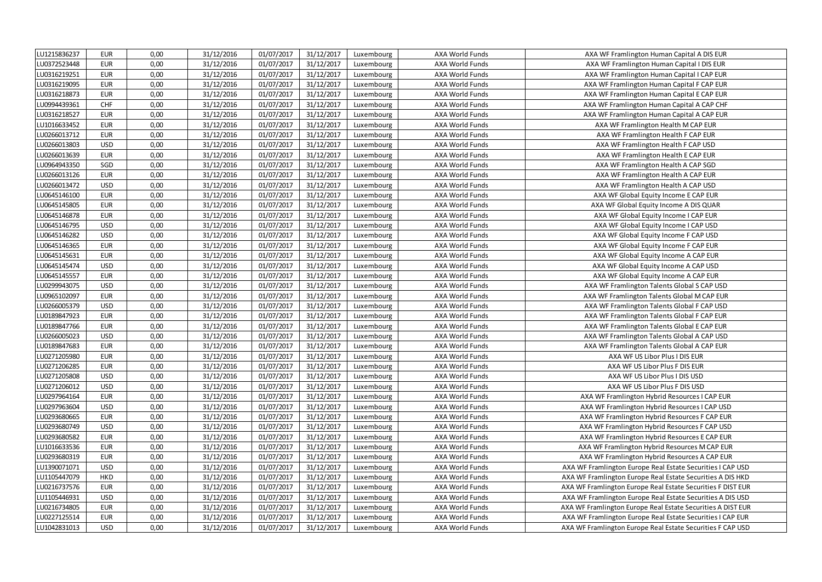| LU1215836237 | <b>EUR</b> | 0,00 | 31/12/2016 | 01/07/2017 | 31/12/2017 | Luxembourg | AXA World Funds        | AXA WF Framlington Human Capital A DIS EUR                  |
|--------------|------------|------|------------|------------|------------|------------|------------------------|-------------------------------------------------------------|
| LU0372523448 | <b>EUR</b> | 0,00 | 31/12/2016 | 01/07/2017 | 31/12/2017 | Luxembourg | AXA World Funds        | AXA WF Framlington Human Capital I DIS EUR                  |
| LU0316219251 | <b>EUR</b> | 0,00 | 31/12/2016 | 01/07/2017 | 31/12/2017 | Luxembourg | AXA World Funds        | AXA WF Framlington Human Capital I CAP EUR                  |
| LU0316219095 | <b>EUR</b> | 0,00 | 31/12/2016 | 01/07/2017 | 31/12/2017 | Luxembourg | AXA World Funds        | AXA WF Framlington Human Capital F CAP EUR                  |
| LU0316218873 | <b>EUR</b> | 0,00 | 31/12/2016 | 01/07/2017 | 31/12/2017 | Luxembourg | AXA World Funds        | AXA WF Framlington Human Capital E CAP EUR                  |
| LU0994439361 | CHF        | 0,00 | 31/12/2016 | 01/07/2017 | 31/12/2017 | Luxembourg | AXA World Funds        | AXA WF Framlington Human Capital A CAP CHF                  |
| LU0316218527 | <b>EUR</b> | 0,00 | 31/12/2016 | 01/07/2017 | 31/12/2017 | Luxembourg | AXA World Funds        | AXA WF Framlington Human Capital A CAP EUR                  |
| LU1016633452 | <b>EUR</b> | 0,00 | 31/12/2016 | 01/07/2017 | 31/12/2017 | Luxembourg | AXA World Funds        | AXA WF Framlington Health M CAP EUR                         |
| LU0266013712 | <b>EUR</b> | 0,00 | 31/12/2016 | 01/07/2017 | 31/12/2017 | Luxembourg | AXA World Funds        | AXA WF Framlington Health F CAP EUR                         |
| LU0266013803 | <b>USD</b> | 0,00 | 31/12/2016 | 01/07/2017 | 31/12/2017 | Luxembourg | AXA World Funds        | AXA WF Framlington Health F CAP USD                         |
| LU0266013639 | <b>EUR</b> | 0,00 | 31/12/2016 | 01/07/2017 | 31/12/2017 | Luxembourg | AXA World Funds        | AXA WF Framlington Health E CAP EUR                         |
| LU0964943350 | SGD        | 0,00 | 31/12/2016 | 01/07/2017 | 31/12/2017 | Luxembourg | AXA World Funds        | AXA WF Framlington Health A CAP SGD                         |
| LU0266013126 | <b>EUR</b> | 0,00 | 31/12/2016 | 01/07/2017 | 31/12/2017 | Luxembourg | AXA World Funds        | AXA WF Framlington Health A CAP EUR                         |
| LU0266013472 | <b>USD</b> | 0,00 | 31/12/2016 | 01/07/2017 | 31/12/2017 | Luxembourg | AXA World Funds        | AXA WF Framlington Health A CAP USD                         |
| LU0645146100 | <b>EUR</b> | 0,00 | 31/12/2016 | 01/07/2017 | 31/12/2017 | Luxembourg | AXA World Funds        | AXA WF Global Equity Income E CAP EUR                       |
| LU0645145805 | <b>EUR</b> | 0,00 | 31/12/2016 | 01/07/2017 | 31/12/2017 | Luxembourg | AXA World Funds        | AXA WF Global Equity Income A DIS QUAR                      |
| LU0645146878 | <b>EUR</b> | 0,00 | 31/12/2016 | 01/07/2017 | 31/12/2017 | Luxembourg | AXA World Funds        | AXA WF Global Equity Income I CAP EUR                       |
| LU0645146795 | <b>USD</b> | 0,00 | 31/12/2016 | 01/07/2017 | 31/12/2017 | Luxembourg | AXA World Funds        | AXA WF Global Equity Income I CAP USD                       |
| LU0645146282 | <b>USD</b> | 0,00 | 31/12/2016 | 01/07/2017 | 31/12/2017 | Luxembourg | AXA World Funds        | AXA WF Global Equity Income F CAP USD                       |
| LU0645146365 | <b>EUR</b> | 0,00 | 31/12/2016 | 01/07/2017 | 31/12/2017 | Luxembourg | AXA World Funds        | AXA WF Global Equity Income F CAP EUR                       |
| LU0645145631 | <b>EUR</b> | 0,00 | 31/12/2016 | 01/07/2017 | 31/12/2017 | Luxembourg | AXA World Funds        | AXA WF Global Equity Income A CAP EUR                       |
| LU0645145474 | <b>USD</b> | 0,00 | 31/12/2016 | 01/07/2017 | 31/12/2017 | Luxembourg | AXA World Funds        | AXA WF Global Equity Income A CAP USD                       |
| LU0645145557 | <b>EUR</b> | 0,00 | 31/12/2016 | 01/07/2017 | 31/12/2017 | Luxembourg | AXA World Funds        | AXA WF Global Equity Income A CAP EUR                       |
| LU0299943075 | <b>USD</b> | 0,00 | 31/12/2016 | 01/07/2017 | 31/12/2017 | Luxembourg | AXA World Funds        | AXA WF Framlington Talents Global S CAP USD                 |
| LU0965102097 | <b>EUR</b> | 0,00 | 31/12/2016 | 01/07/2017 | 31/12/2017 | Luxembourg | AXA World Funds        | AXA WF Framlington Talents Global M CAP EUR                 |
| LU0266005379 | <b>USD</b> | 0,00 | 31/12/2016 | 01/07/2017 | 31/12/2017 | Luxembourg | AXA World Funds        | AXA WF Framlington Talents Global F CAP USD                 |
| LU0189847923 | <b>EUR</b> | 0,00 | 31/12/2016 | 01/07/2017 | 31/12/2017 | Luxembourg | <b>AXA World Funds</b> | AXA WF Framlington Talents Global F CAP EUR                 |
| LU0189847766 | <b>EUR</b> | 0,00 | 31/12/2016 | 01/07/2017 | 31/12/2017 | Luxembourg | AXA World Funds        | AXA WF Framlington Talents Global E CAP EUR                 |
| LU0266005023 | <b>USD</b> | 0,00 | 31/12/2016 | 01/07/2017 | 31/12/2017 | Luxembourg | AXA World Funds        | AXA WF Framlington Talents Global A CAP USD                 |
| LU0189847683 | <b>EUR</b> | 0,00 | 31/12/2016 | 01/07/2017 | 31/12/2017 | Luxembourg | AXA World Funds        | AXA WF Framlington Talents Global A CAP EUR                 |
| LU0271205980 | <b>EUR</b> | 0,00 | 31/12/2016 | 01/07/2017 | 31/12/2017 | Luxembourg | AXA World Funds        | AXA WF US Libor Plus I DIS EUR                              |
| LU0271206285 | <b>EUR</b> | 0,00 | 31/12/2016 | 01/07/2017 | 31/12/2017 | Luxembourg | AXA World Funds        | AXA WF US Libor Plus F DIS EUR                              |
| LU0271205808 | <b>USD</b> | 0,00 | 31/12/2016 | 01/07/2017 | 31/12/2017 | Luxembourg | AXA World Funds        | AXA WF US Libor Plus I DIS USD                              |
| LU0271206012 | <b>USD</b> | 0,00 | 31/12/2016 | 01/07/2017 | 31/12/2017 | Luxembourg | AXA World Funds        | AXA WF US Libor Plus F DIS USD                              |
| LU0297964164 | <b>EUR</b> | 0,00 | 31/12/2016 | 01/07/2017 | 31/12/2017 | Luxembourg | <b>AXA World Funds</b> | AXA WF Framlington Hybrid Resources I CAP EUR               |
| LU0297963604 | <b>USD</b> | 0,00 | 31/12/2016 | 01/07/2017 | 31/12/2017 | Luxembourg | AXA World Funds        | AXA WF Framlington Hybrid Resources I CAP USD               |
| LU0293680665 | <b>EUR</b> | 0,00 | 31/12/2016 | 01/07/2017 | 31/12/2017 | Luxembourg | AXA World Funds        | AXA WF Framlington Hybrid Resources F CAP EUR               |
| LU0293680749 | <b>USD</b> | 0,00 | 31/12/2016 | 01/07/2017 | 31/12/2017 | Luxembourg | AXA World Funds        | AXA WF Framlington Hybrid Resources F CAP USD               |
| LU0293680582 | <b>EUR</b> | 0,00 | 31/12/2016 | 01/07/2017 | 31/12/2017 | Luxembourg | AXA World Funds        | AXA WF Framlington Hybrid Resources E CAP EUR               |
| LU1016633536 | <b>EUR</b> | 0,00 | 31/12/2016 | 01/07/2017 | 31/12/2017 | Luxembourg | AXA World Funds        | AXA WF Framlington Hybrid Resources M CAP EUR               |
| LU0293680319 | <b>EUR</b> | 0,00 | 31/12/2016 | 01/07/2017 | 31/12/2017 | Luxembourg | AXA World Funds        | AXA WF Framlington Hybrid Resources A CAP EUR               |
| LU1390071071 | <b>USD</b> | 0,00 | 31/12/2016 | 01/07/2017 | 31/12/2017 | Luxembourg | AXA World Funds        | AXA WF Framlington Europe Real Estate Securities I CAP USD  |
| LU1105447079 | <b>HKD</b> | 0,00 | 31/12/2016 | 01/07/2017 | 31/12/2017 | Luxembourg | AXA World Funds        | AXA WF Framlington Europe Real Estate Securities A DIS HKD  |
| LU0216737576 | <b>EUR</b> | 0,00 | 31/12/2016 | 01/07/2017 | 31/12/2017 | Luxembourg | AXA World Funds        | AXA WF Framlington Europe Real Estate Securities F DIST EUR |
| LU1105446931 | <b>USD</b> | 0,00 | 31/12/2016 | 01/07/2017 | 31/12/2017 | Luxembourg | AXA World Funds        | AXA WF Framlington Europe Real Estate Securities A DIS USD  |
| LU0216734805 | <b>EUR</b> | 0,00 | 31/12/2016 | 01/07/2017 | 31/12/2017 | Luxembourg | AXA World Funds        | AXA WF Framlington Europe Real Estate Securities A DIST EUR |
| LU0227125514 | <b>EUR</b> | 0,00 | 31/12/2016 | 01/07/2017 | 31/12/2017 | Luxembourg | AXA World Funds        | AXA WF Framlington Europe Real Estate Securities I CAP EUR  |
| LU1042831013 | <b>USD</b> | 0,00 | 31/12/2016 | 01/07/2017 | 31/12/2017 | Luxembourg | AXA World Funds        | AXA WF Framlington Europe Real Estate Securities F CAP USD  |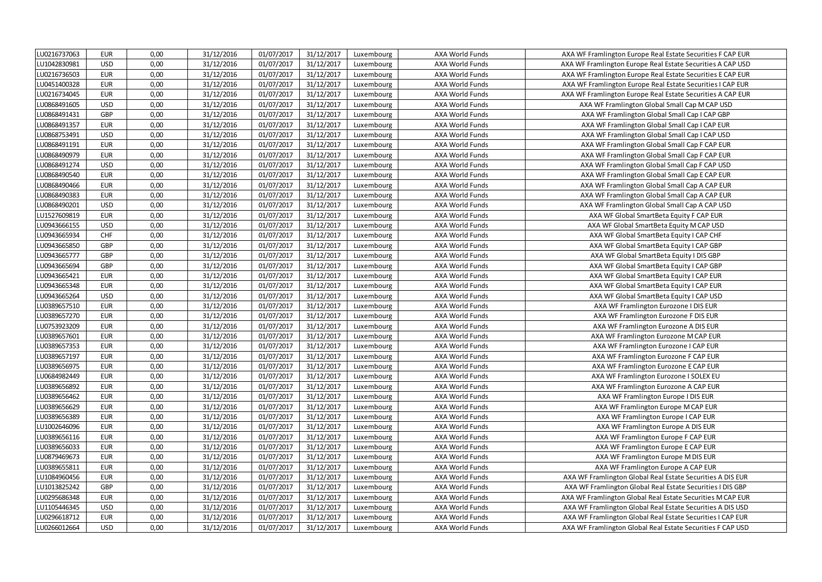| LU0216737063 | <b>EUR</b> | 0,00 | 31/12/2016 | 01/07/2017 | 31/12/2017 | Luxembourg | AXA World Funds        | AXA WF Framlington Europe Real Estate Securities F CAP EUR |
|--------------|------------|------|------------|------------|------------|------------|------------------------|------------------------------------------------------------|
| LU1042830981 | <b>USD</b> | 0,00 | 31/12/2016 | 01/07/2017 | 31/12/2017 | Luxembourg | AXA World Funds        | AXA WF Framlington Europe Real Estate Securities A CAP USD |
| LU0216736503 | <b>EUR</b> | 0,00 | 31/12/2016 | 01/07/2017 | 31/12/2017 | Luxembourg | AXA World Funds        | AXA WF Framlington Europe Real Estate Securities E CAP EUR |
| LU0451400328 | <b>EUR</b> | 0,00 | 31/12/2016 | 01/07/2017 | 31/12/2017 | Luxembourg | AXA World Funds        | AXA WF Framlington Europe Real Estate Securities I CAP EUR |
| LU0216734045 | <b>EUR</b> | 0,00 | 31/12/2016 | 01/07/2017 | 31/12/2017 | Luxembourg | AXA World Funds        | AXA WF Framlington Europe Real Estate Securities A CAP EUR |
| LU0868491605 | <b>USD</b> | 0,00 | 31/12/2016 | 01/07/2017 | 31/12/2017 | Luxembourg | AXA World Funds        | AXA WF Framlington Global Small Cap M CAP USD              |
| LU0868491431 | GBP        | 0,00 | 31/12/2016 | 01/07/2017 | 31/12/2017 | Luxembourg | AXA World Funds        | AXA WF Framlington Global Small Cap I CAP GBP              |
| LU0868491357 | <b>EUR</b> | 0,00 | 31/12/2016 | 01/07/2017 | 31/12/2017 | Luxembourg | <b>AXA World Funds</b> | AXA WF Framlington Global Small Cap I CAP EUR              |
| LU0868753491 | <b>USD</b> | 0,00 | 31/12/2016 | 01/07/2017 | 31/12/2017 | Luxembourg | <b>AXA World Funds</b> | AXA WF Framlington Global Small Cap I CAP USD              |
| LU0868491191 | <b>EUR</b> | 0,00 | 31/12/2016 | 01/07/2017 | 31/12/2017 | Luxembourg | AXA World Funds        | AXA WF Framlington Global Small Cap F CAP EUR              |
| LU0868490979 | <b>EUR</b> | 0,00 | 31/12/2016 | 01/07/2017 | 31/12/2017 | Luxembourg | AXA World Funds        | AXA WF Framlington Global Small Cap F CAP EUR              |
| LU0868491274 | <b>USD</b> | 0,00 | 31/12/2016 | 01/07/2017 | 31/12/2017 | Luxembourg | AXA World Funds        | AXA WF Framlington Global Small Cap F CAP USD              |
| LU0868490540 | <b>EUR</b> | 0,00 | 31/12/2016 | 01/07/2017 | 31/12/2017 | Luxembourg | AXA World Funds        | AXA WF Framlington Global Small Cap E CAP EUR              |
| LU0868490466 | <b>EUR</b> | 0,00 | 31/12/2016 | 01/07/2017 | 31/12/2017 | Luxembourg | AXA World Funds        | AXA WF Framlington Global Small Cap A CAP EUR              |
| LU0868490383 | <b>EUR</b> | 0,00 | 31/12/2016 | 01/07/2017 | 31/12/2017 | Luxembourg | AXA World Funds        | AXA WF Framlington Global Small Cap A CAP EUR              |
| LU0868490201 | <b>USD</b> | 0,00 | 31/12/2016 | 01/07/2017 | 31/12/2017 | Luxembourg | AXA World Funds        | AXA WF Framlington Global Small Cap A CAP USD              |
| LU1527609819 | <b>EUR</b> | 0,00 | 31/12/2016 | 01/07/2017 | 31/12/2017 | Luxembourg | AXA World Funds        | AXA WF Global SmartBeta Equity F CAP EUR                   |
| LU0943666155 | <b>USD</b> | 0,00 | 31/12/2016 | 01/07/2017 | 31/12/2017 | Luxembourg | AXA World Funds        | AXA WF Global SmartBeta Equity M CAP USD                   |
| LU0943665934 | CHF        | 0,00 | 31/12/2016 | 01/07/2017 | 31/12/2017 | Luxembourg | <b>AXA World Funds</b> | AXA WF Global SmartBeta Equity I CAP CHF                   |
| LU0943665850 | GBP        | 0,00 | 31/12/2016 | 01/07/2017 | 31/12/2017 | Luxembourg | AXA World Funds        | AXA WF Global SmartBeta Equity I CAP GBP                   |
| LU0943665777 | GBP        | 0,00 | 31/12/2016 | 01/07/2017 | 31/12/2017 | Luxembourg | AXA World Funds        | AXA WF Global SmartBeta Equity I DIS GBP                   |
| LU0943665694 | GBP        | 0,00 | 31/12/2016 | 01/07/2017 | 31/12/2017 | Luxembourg | AXA World Funds        | AXA WF Global SmartBeta Equity I CAP GBP                   |
| LU0943665421 | <b>EUR</b> | 0,00 | 31/12/2016 | 01/07/2017 | 31/12/2017 | Luxembourg | AXA World Funds        | AXA WF Global SmartBeta Equity I CAP EUR                   |
| LU0943665348 | <b>EUR</b> | 0,00 | 31/12/2016 | 01/07/2017 | 31/12/2017 | Luxembourg | AXA World Funds        | AXA WF Global SmartBeta Equity I CAP EUR                   |
| LU0943665264 | <b>USD</b> | 0,00 | 31/12/2016 | 01/07/2017 | 31/12/2017 | Luxembourg | AXA World Funds        | AXA WF Global SmartBeta Equity I CAP USD                   |
| LU0389657510 | <b>EUR</b> | 0,00 | 31/12/2016 | 01/07/2017 | 31/12/2017 | Luxembourg | <b>AXA World Funds</b> | AXA WF Framlington Eurozone I DIS EUR                      |
| LU0389657270 | <b>EUR</b> | 0,00 | 31/12/2016 | 01/07/2017 | 31/12/2017 | Luxembourg | AXA World Funds        | AXA WF Framlington Eurozone F DIS EUR                      |
| LU0753923209 | <b>EUR</b> | 0,00 | 31/12/2016 | 01/07/2017 | 31/12/2017 | Luxembourg | AXA World Funds        | AXA WF Framlington Eurozone A DIS EUR                      |
| LU0389657601 | <b>EUR</b> | 0,00 | 31/12/2016 | 01/07/2017 | 31/12/2017 | Luxembourg | AXA World Funds        | AXA WF Framlington Eurozone M CAP EUR                      |
| LU0389657353 | <b>EUR</b> | 0,00 | 31/12/2016 | 01/07/2017 | 31/12/2017 | Luxembourg | AXA World Funds        | AXA WF Framlington Eurozone I CAP EUR                      |
| LU0389657197 | <b>EUR</b> | 0,00 | 31/12/2016 | 01/07/2017 | 31/12/2017 | Luxembourg | AXA World Funds        | AXA WF Framlington Eurozone F CAP EUR                      |
| LU0389656975 | <b>EUR</b> | 0,00 | 31/12/2016 | 01/07/2017 | 31/12/2017 | Luxembourg | AXA World Funds        | AXA WF Framlington Eurozone E CAP EUR                      |
| LU0684982449 | <b>EUR</b> | 0,00 | 31/12/2016 | 01/07/2017 | 31/12/2017 | Luxembourg | AXA World Funds        | AXA WF Framlington Eurozone I SOLEX EU                     |
| LU0389656892 | <b>EUR</b> | 0,00 | 31/12/2016 | 01/07/2017 | 31/12/2017 | Luxembourg | <b>AXA World Funds</b> | AXA WF Framlington Eurozone A CAP EUR                      |
| LU0389656462 | <b>EUR</b> | 0,00 | 31/12/2016 | 01/07/2017 | 31/12/2017 | Luxembourg | <b>AXA World Funds</b> | AXA WF Framlington Europe I DIS EUR                        |
| LU0389656629 | <b>EUR</b> | 0,00 | 31/12/2016 | 01/07/2017 | 31/12/2017 | Luxembourg | AXA World Funds        | AXA WF Framlington Europe M CAP EUR                        |
| LU0389656389 | <b>EUR</b> | 0.00 | 31/12/2016 | 01/07/2017 | 31/12/2017 | Luxembourg | AXA World Funds        | AXA WF Framlington Europe I CAP EUR                        |
| LU1002646096 | <b>EUR</b> | 0,00 | 31/12/2016 | 01/07/2017 | 31/12/2017 | Luxembourg | AXA World Funds        | AXA WF Framlington Europe A DIS EUR                        |
| LU0389656116 | <b>EUR</b> | 0,00 | 31/12/2016 | 01/07/2017 | 31/12/2017 | Luxembourg | AXA World Funds        | AXA WF Framlington Europe F CAP EUR                        |
| LU0389656033 | <b>EUR</b> | 0,00 | 31/12/2016 | 01/07/2017 | 31/12/2017 | Luxembourg | AXA World Funds        | AXA WF Framlington Europe E CAP EUR                        |
| LU0879469673 | <b>EUR</b> | 0,00 | 31/12/2016 | 01/07/2017 | 31/12/2017 | Luxembourg | AXA World Funds        | AXA WF Framlington Europe M DIS EUR                        |
| LU0389655811 | <b>EUR</b> | 0,00 | 31/12/2016 | 01/07/2017 | 31/12/2017 | Luxembourg | <b>AXA World Funds</b> | AXA WF Framlington Europe A CAP EUR                        |
| LU1084960456 | <b>EUR</b> | 0,00 | 31/12/2016 | 01/07/2017 | 31/12/2017 | Luxembourg | <b>AXA World Funds</b> | AXA WF Framlington Global Real Estate Securities A DIS EUR |
| LU1013825242 | <b>GBP</b> | 0,00 | 31/12/2016 | 01/07/2017 | 31/12/2017 | Luxembourg | AXA World Funds        | AXA WF Framlington Global Real Estate Securities I DIS GBP |
| LU0295686348 | <b>EUR</b> | 0,00 | 31/12/2016 | 01/07/2017 | 31/12/2017 | Luxembourg | AXA World Funds        | AXA WF Framlington Global Real Estate Securities M CAP EUR |
| LU1105446345 | <b>USD</b> | 0,00 | 31/12/2016 | 01/07/2017 | 31/12/2017 | Luxembourg | AXA World Funds        | AXA WF Framlington Global Real Estate Securities A DIS USD |
| LU0296618712 | <b>EUR</b> | 0,00 | 31/12/2016 | 01/07/2017 | 31/12/2017 | Luxembourg | <b>AXA World Funds</b> | AXA WF Framlington Global Real Estate Securities I CAP EUR |
| LU0266012664 | <b>USD</b> | 0,00 | 31/12/2016 | 01/07/2017 | 31/12/2017 | Luxembourg | AXA World Funds        | AXA WF Framlington Global Real Estate Securities F CAP USD |